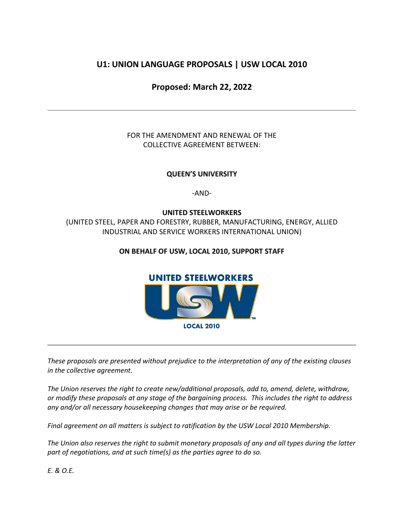# **U1: UNION LANGUAGE PROPOSALS | USW LOCAL 2010**

# **Proposed: March 22, 2022**

## FOR THE AMENDMENT AND RENEWAL OF THE COLLECTIVE AGREEMENT BETWEEN:

## **QUEEN'S UNIVERSITY**

-AND-

### **UNITED STEELWORKERS**

(UNITED STEEL, PAPER AND FORESTRY, RUBBER, MANUFACTURING, ENERGY, ALLIED INDUSTRIAL AND SERVICE WORKERS INTERNATIONAL UNION)

### **ON BEHALF OF USW, LOCAL 2010, SUPPORT STAFF**



*These proposals are presented without prejudice to the interpretation of any of the existing clauses in the collective agreement.*

*The Union reserves the right to create new/additional proposals, add to, amend, delete, withdraw, or modify these proposals at any stage of the bargaining process. This includes the right to address any and/or all necessary housekeeping changes that may arise or be required.*

*Final agreement on all matters is subject to ratification by the USW Local 2010 Membership.* 

*The Union also reserves the right to submit monetary proposals of any and all types during the latter part of negotiations, and at such time(s) as the parties agree to do so.*

*E. & O.E.*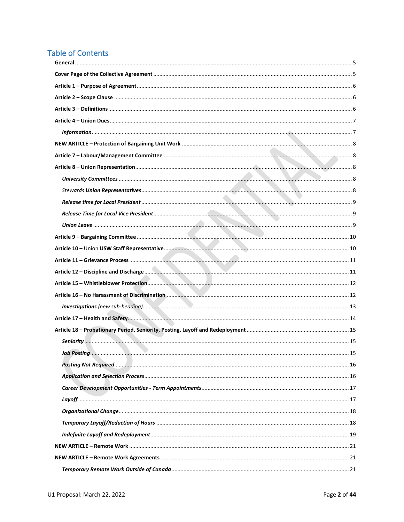# **Table of Contents**

| Job Posting | 15 |
|-------------|----|
|             |    |
|             |    |
|             |    |
|             |    |
|             |    |
|             |    |
|             |    |
|             |    |
|             |    |
|             |    |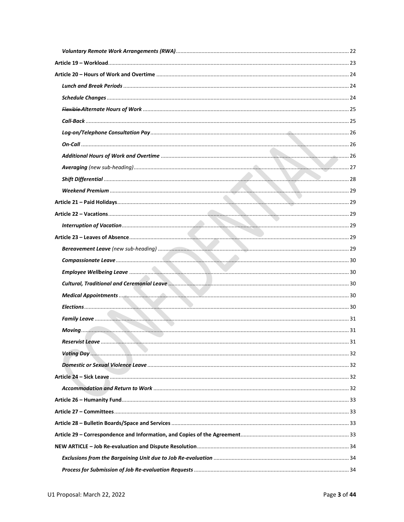| Reservist Leave<br>. | . 31 |
|----------------------|------|
|                      |      |
|                      |      |
|                      |      |
|                      |      |
|                      |      |
|                      |      |
|                      |      |
|                      |      |
|                      |      |
|                      |      |
|                      |      |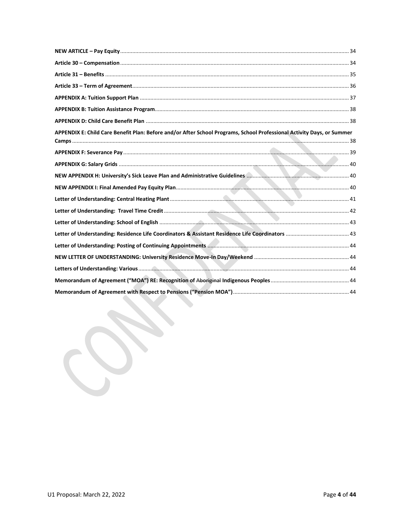| APPENDIX E: Child Care Benefit Plan: Before and/or After School Programs, School Professional Activity Days, or Summer |  |
|------------------------------------------------------------------------------------------------------------------------|--|
|                                                                                                                        |  |
|                                                                                                                        |  |
|                                                                                                                        |  |
|                                                                                                                        |  |
|                                                                                                                        |  |
|                                                                                                                        |  |
|                                                                                                                        |  |
|                                                                                                                        |  |
|                                                                                                                        |  |
|                                                                                                                        |  |
|                                                                                                                        |  |
|                                                                                                                        |  |
|                                                                                                                        |  |
|                                                                                                                        |  |

<span id="page-3-0"></span>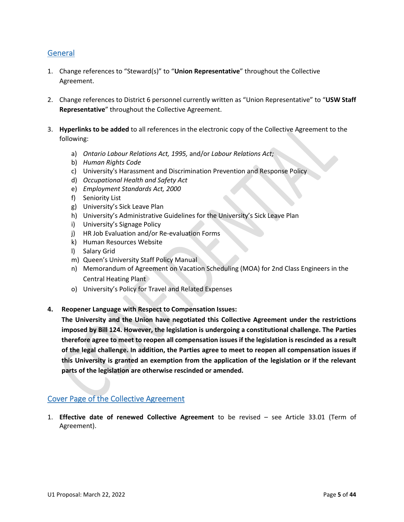## **General**

- 1. Change references to "Steward(s)" to "**Union Representative**" throughout the Collective Agreement.
- 2. Change references to District 6 personnel currently written as "Union Representative" to "**USW Staff Representative**" throughout the Collective Agreement.
- 3. **Hyperlinks to be added** to all references in the electronic copy of the Collective Agreement to the following:
	- a) *Ontario Labour Relations Act, 1995,* and/or *Labour Relations Act;*
	- b) *Human Rights Code*
	- c) University's Harassment and Discrimination Prevention and Response Policy
	- d) *Occupational Health and Safety Act*
	- e) *Employment Standards Act, 2000*
	- f) Seniority List
	- g) University's Sick Leave Plan
	- h) University's Administrative Guidelines for the University's Sick Leave Plan
	- i) University's Signage Policy
	- j) HR Job Evaluation and/or Re-evaluation Forms
	- k) Human Resources Website
	- l) Salary Grid
	- m) Queen's University Staff Policy Manual
	- n) Memorandum of Agreement on Vacation Scheduling (MOA) for 2nd Class Engineers in the Central Heating Plant
	- o) University's Policy for Travel and Related Expenses
- **4. Reopener Language with Respect to Compensation Issues:**

**The University and the Union have negotiated this Collective Agreement under the restrictions imposed by Bill 124. However, the legislation is undergoing a constitutional challenge. The Parties therefore agree to meet to reopen all compensation issues if the legislation is rescinded as a result of the legal challenge. In addition, the Parties agree to meet to reopen all compensation issues if this University is granted an exemption from the application of the legislation or if the relevant parts of the legislation are otherwise rescinded or amended.**

## <span id="page-4-0"></span>Cover Page of the Collective Agreement

1. **Effective date of renewed Collective Agreement** to be revised – see Article 33.01 (Term of Agreement).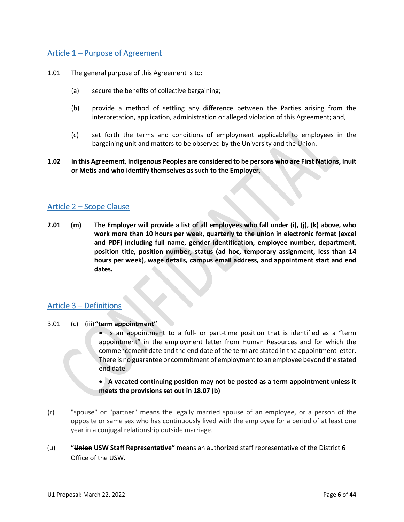## <span id="page-5-0"></span>Article 1 – Purpose of Agreement

- 1.01 The general purpose of this Agreement is to:
	- (a) secure the benefits of collective bargaining;
	- (b) provide a method of settling any difference between the Parties arising from the interpretation, application, administration or alleged violation of this Agreement; and,
	- (c) set forth the terms and conditions of employment applicable to employees in the bargaining unit and matters to be observed by the University and the Union.
- **1.02 In this Agreement, Indigenous Peoples are considered to be persons who are First Nations, Inuit or Metis and who identify themselves as such to the Employer.**

### <span id="page-5-1"></span>Article 2 – Scope Clause

**2.01 (m) The Employer will provide a list of all employees who fall under (i), (j), (k) above, who work more than 10 hours per week, quarterly to the union in electronic format (excel and PDF) including full name, gender identification, employee number, department, position title, position number, status (ad hoc, temporary assignment, less than 14 hours per week), wage details, campus email address, and appointment start and end dates.**

### <span id="page-5-2"></span>Article 3 – Definitions

3.01 (c) (iii)**"term appointment"**

• is an appointment to a full- or part-time position that is identified as a "term appointment" in the employment letter from Human Resources and for which the commencement date and the end date of the term are stated in the appointment letter. There is no guarantee or commitment of employment to an employee beyond the stated end date.

### • **A vacated continuing position may not be posted as a term appointment unless it meets the provisions set out in 18.07 (b)**

- (r) "spouse" or "partner" means the legally married spouse of an employee, or a person of the opposite or same sex-who has continuously lived with the employee for a period of at least one year in a conjugal relationship outside marriage.
- (u) **"Union USW Staff Representative"** means an authorized staff representative of the District 6 Office of the USW.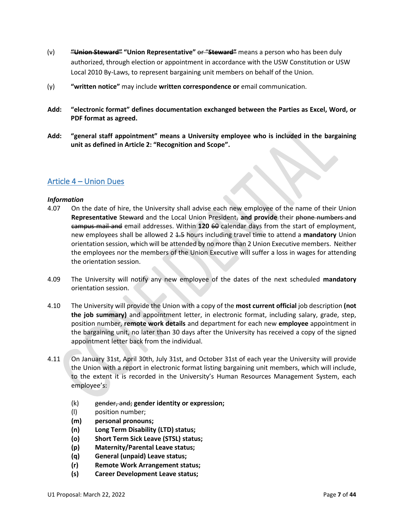- (v) **"Union Steward" "Union Representative"** or "**Steward"** means a person who has been duly authorized, through election or appointment in accordance with the USW Constitution or USW Local 2010 By-Laws, to represent bargaining unit members on behalf of the Union.
- (y) **"written notice"** may include **written correspondence or** email communication.
- **Add: "electronic format" defines documentation exchanged between the Parties as Excel, Word, or PDF format as agreed.**
- **Add: "general staff appointment" means a University employee who is included in the bargaining unit as defined in Article 2: "Recognition and Scope".**

### <span id="page-6-0"></span>Article 4 – Union Dues

#### <span id="page-6-1"></span>*Information*

- 4.07 On the date of hire, the University shall advise each new employee of the name of their Union Representative Steward and the Local Union President, and provide their phone numbers and campus mail and email addresses. Within **120** 60 calendar days from the start of employment, new employees shall be allowed 2 1.5 hours including travel time to attend a **mandatory** Union orientation session, which will be attended by no more than 2 Union Executive members. Neither the employees nor the members of the Union Executive will suffer a loss in wages for attending the orientation session.
- 4.09 The University will notify any new employee of the dates of the next scheduled **mandatory**  orientation session.
- 4.10 The University will provide the Union with a copy of the **most current official** job description **(not the job summary)** and appointment letter, in electronic format, including salary, grade, step, position number, **remote work details** and department for each new **employee** appointment in the bargaining unit, no later than 30 days after the University has received a copy of the signed appointment letter back from the individual.
- 4.11 On January 31st, April 30th, July 31st, and October 31st of each year the University will provide the Union with a report in electronic format listing bargaining unit members, which will include, to the extent it is recorded in the University's Human Resources Management System, each employee's:
	- (k) gender, and; **gender identity or expression;**
	- (l) position number;
	- **(m) personal pronouns;**
	- **(n) Long Term Disability (LTD) status;**
	- **(o) Short Term Sick Leave (STSL) status;**
	- **(p) Maternity/Parental Leave status;**
	- **(q) General (unpaid) Leave status;**
	- **(r) Remote Work Arrangement status;**
	- **(s) Career Development Leave status;**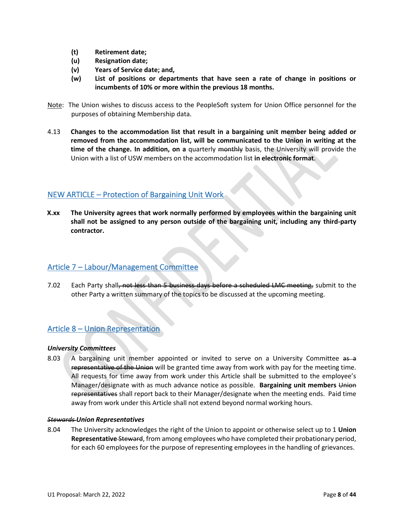- **(t) Retirement date;**
- **(u) Resignation date;**
- **(v) Years of Service date; and,**
- **(w) List of positions or departments that have seen a rate of change in positions or incumbents of 10% or more within the previous 18 months.**
- Note: The Union wishes to discuss access to the PeopleSoft system for Union Office personnel for the purposes of obtaining Membership data.
- 4.13 **Changes to the accommodation list that result in a bargaining unit member being added or removed from the accommodation list, will be communicated to the Union in writing at the time of the change. In addition, on a** quarterly monthly basis, the University will provide the Union with a list of USW members on the accommodation list **in electronic format**.

## <span id="page-7-0"></span>NEW ARTICLE – Protection of Bargaining Unit Work

**X.xx The University agrees that work normally performed by employees within the bargaining unit shall not be assigned to any person outside of the bargaining unit, including any third-party contractor.**

### <span id="page-7-1"></span>Article 7 – Labour/Management Committee

7.02 Each Party shall, not less than 5 business days before a scheduled LMC meeting, submit to the other Party a written summary of the topics to be discussed at the upcoming meeting.

## <span id="page-7-2"></span>Article 8 – Union Representation

#### <span id="page-7-3"></span>*University Committees*

8.03 A bargaining unit member appointed or invited to serve on a University Committee as a representative of the Union will be granted time away from work with pay for the meeting time. All requests for time away from work under this Article shall be submitted to the employee's Manager/designate with as much advance notice as possible. **Bargaining unit members** Union representatives shall report back to their Manager/designate when the meeting ends. Paid time away from work under this Article shall not extend beyond normal working hours.

#### <span id="page-7-4"></span>*Stewards Union Representatives*

8.04 The University acknowledges the right of the Union to appoint or otherwise select up to 1 **Union Representative** Steward, from among employees who have completed their probationary period, for each 60 employees for the purpose of representing employees in the handling of grievances.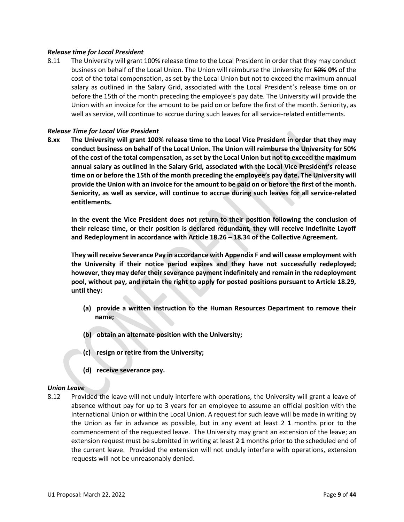#### <span id="page-8-0"></span>*Release time for Local President*

8.11 The University will grant 100% release time to the Local President in order that they may conduct business on behalf of the Local Union. The Union will reimburse the University for 50% **0%** of the cost of the total compensation, as set by the Local Union but not to exceed the maximum annual salary as outlined in the Salary Grid, associated with the Local President's release time on or before the 15th of the month preceding the employee's pay date. The University will provide the Union with an invoice for the amount to be paid on or before the first of the month. Seniority, as well as service, will continue to accrue during such leaves for all service-related entitlements.

#### <span id="page-8-1"></span>*Release Time for Local Vice President*

**8.xx The University will grant 100% release time to the Local Vice President in order that they may conduct business on behalf of the Local Union. The Union will reimburse the University for 50% of the cost of the total compensation, as set by the Local Union but not to exceed the maximum annual salary as outlined in the Salary Grid, associated with the Local Vice President's release time on or before the 15th of the month preceding the employee's pay date. The University will provide the Union with an invoice for the amount to be paid on or before the first of the month. Seniority, as well as service, will continue to accrue during such leaves for all service-related entitlements.** 

**In the event the Vice President does not return to their position following the conclusion of their release time, or their position is declared redundant, they will receive Indefinite Layoff and Redeployment in accordance with Article 18.26 – 18.34 of the Collective Agreement.** 

**They will receive Severance Pay in accordance with Appendix F and will cease employment with the University if their notice period expires and they have not successfully redeployed; however, they may defer their severance payment indefinitely and remain in the redeployment pool, without pay, and retain the right to apply for posted positions pursuant to Article 18.29, until they:**

- **(a) provide a written instruction to the Human Resources Department to remove their name;**
- **(b) obtain an alternate position with the University;**
- **(c) resign or retire from the University;**
- **(d) receive severance pay.**

#### <span id="page-8-2"></span>*Union Leave*

8.12 Provided the leave will not unduly interfere with operations, the University will grant a leave of absence without pay for up to 3 years for an employee to assume an official position with the International Union or within the Local Union. A request for such leave will be made in writing by the Union as far in advance as possible, but in any event at least  $2 \cdot 1$  months prior to the commencement of the requested leave. The University may grant an extension of the leave; an extension request must be submitted in writing at least 2 **1** months prior to the scheduled end of the current leave. Provided the extension will not unduly interfere with operations, extension requests will not be unreasonably denied.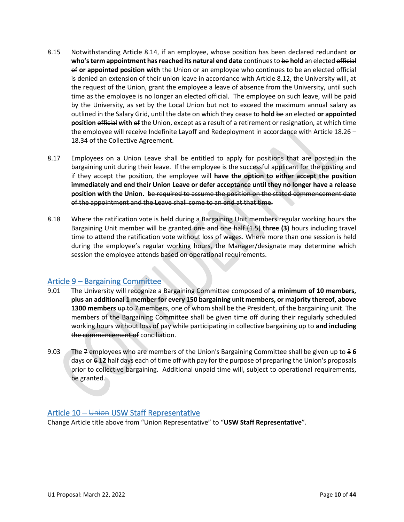- 8.15 Notwithstanding Article 8.14, if an employee, whose position has been declared redundant **or who's term appointment has reached its natural end date** continues to be **hold** an elected official of **or appointed position with** the Union or an employee who continues to be an elected official is denied an extension of their union leave in accordance with Article 8.12, the University will, at the request of the Union, grant the employee a leave of absence from the University, until such time as the employee is no longer an elected official. The employee on such leave, will be paid by the University, as set by the Local Union but not to exceed the maximum annual salary as outlined in the Salary Grid, until the date on which they cease to **hold** be an elected **or appointed position** official **with** of the Union, except as a result of a retirement or resignation, at which time the employee will receive Indefinite Layoff and Redeployment in accordance with Article 18.26 – 18.34 of the Collective Agreement.
- 8.17 Employees on a Union Leave shall be entitled to apply for positions that are posted in the bargaining unit during their leave. If the employee is the successful applicant for the posting and if they accept the position, the employee will **have the option to either accept the position immediately and end their Union Leave or defer acceptance until they no longer have a release position with the Union.** be required to assume the position on the stated commencement date of the appointment and the Leave shall come to an end at that time.
- 8.18 Where the ratification vote is held during a Bargaining Unit members regular working hours the Bargaining Unit member will be granted one and one half (1.5) **three (3)** hours including travel time to attend the ratification vote without loss of wages. Where more than one session is held during the employee's regular working hours, the Manager/designate may determine which session the employee attends based on operational requirements.

### <span id="page-9-0"></span>Article 9 – Bargaining Committee

- 9.01 The University will recognize a Bargaining Committee composed of **a minimum of 10 members, plus an additional 1 member for every 150 bargaining unit members, or majority thereof, above 1300 members** up to 7 members, one of whom shall be the President, of the bargaining unit. The members of the Bargaining Committee shall be given time off during their regularly scheduled working hours without loss of pay while participating in collective bargaining up to **and including** the commencement of conciliation.
- 9.03 The 7 employees who are members of the Union's Bargaining Committee shall be given up to 3 **6**  days or 6 **12** half days each of time off with pay for the purpose of preparing the Union's proposals prior to collective bargaining. Additional unpaid time will, subject to operational requirements, be granted.

### <span id="page-9-1"></span>Article 10 – Union USW Staff Representative

Change Article title above from "Union Representative" to "**USW Staff Representative**".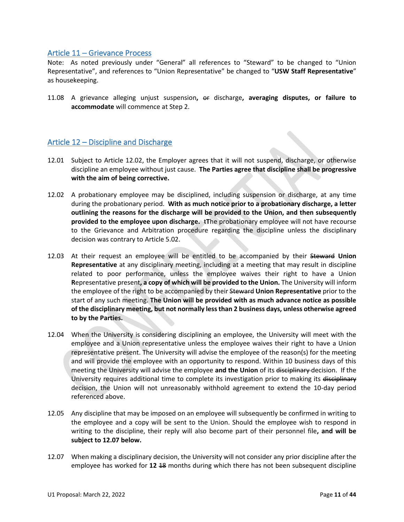### <span id="page-10-0"></span>Article 11 – Grievance Process

Note: As noted previously under "General" all references to "Steward" to be changed to "Union Representative", and references to "Union Representative" be changed to "**USW Staff Representative**" as housekeeping.

11.08 A grievance alleging unjust suspension**,** or discharge**, averaging disputes, or failure to accommodate** will commence at Step 2.

### <span id="page-10-1"></span>Article 12 – Discipline and Discharge

- 12.01 Subject to Article 12.02, the Employer agrees that it will not suspend, discharge, or otherwise discipline an employee without just cause. **The Parties agree that discipline shall be progressive with the aim of being corrective.**
- 12.02 A probationary employee may be disciplined, including suspension or discharge, at any time during the probationary period. **With as much notice prior to a probationary discharge, a letter outlining the reasons for the discharge will be provided to the Union, and then subsequently provided to the employee upon discharge.** t**T**he probationary employee will not have recourse to the Grievance and Arbitration procedure regarding the discipline unless the disciplinary decision was contrary to Article 5.02.
- 12.03 At their request an employee will be entitled to be accompanied by their Steward **Union Representative** at any disciplinary meeting, including at a meeting that may result in discipline related to poor performance, unless the employee waives their right to have a Union **R**epresentative present**, a copy of which will be provided to the Union.** The University will inform the employee of the right to be accompanied by their Steward **Union Representative** prior to the start of any such meeting. **The Union will be provided with as much advance notice as possible of the disciplinary meeting, but not normally less than 2 business days, unless otherwise agreed to by the Parties.**
- 12.04 When the University is considering disciplining an employee, the University will meet with the employee and a Union representative unless the employee waives their right to have a Union representative present. The University will advise the employee of the reason(s) for the meeting and will provide the employee with an opportunity to respond. Within 10 business days of this meeting the University will advise the employee **and the Union** of its disciplinary decision. If the University requires additional time to complete its investigation prior to making its disciplinary decision, the Union will not unreasonably withhold agreement to extend the 10-day period referenced above.
- 12.05 Any discipline that may be imposed on an employee will subsequently be confirmed in writing to the employee and a copy will be sent to the Union. Should the employee wish to respond in writing to the discipline, their reply will also become part of their personnel file**, and will be subject to 12.07 below.**
- 12.07 When making a disciplinary decision, the University will not consider any prior discipline after the employee has worked for **12** 18 months during which there has not been subsequent discipline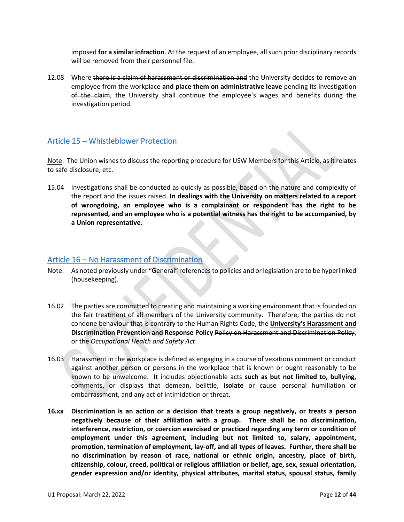imposed **for a similar infraction**. At the request of an employee, all such prior disciplinary records will be removed from their personnel file.

12.08 Where there is a claim of harassment or discrimination and the University decides to remove an employee from the workplace **and place them on administrative leave** pending its investigation of the claim, the University shall continue the employee's wages and benefits during the investigation period.

### <span id="page-11-0"></span>Article 15 – Whistleblower Protection

Note: The Union wishes to discuss the reporting procedure for USW Members for this Article, as it relates to safe disclosure, etc.

15.04 Investigations shall be conducted as quickly as possible, based on the nature and complexity of the report and the issues raised. **In dealings with the University on matters related to a report of wrongdoing, an employee who is a complainant or respondent has the right to be represented, and an employee who is a potential witness has the right to be accompanied, by a Union representative.**

### <span id="page-11-1"></span>Article 16 – No Harassment of Discrimination

- Note: As noted previously under "General" references to policies and or legislation are to be hyperlinked (housekeeping).
- 16.02 The parties are committed to creating and maintaining a working environment that is founded on the fair treatment of all members of the University community. Therefore, the parties do not condone behaviour that is contrary to the Human Rights Code, the **University's Harassment and Discrimination Prevention and Response Policy** Policy on Harassment and Discrimination Policy, or the *Occupational Health and Safety Act*.
- 16.03 Harassment in the workplace is defined as engaging in a course of vexatious comment or conduct against another person or persons in the workplace that is known or ought reasonably to be known to be unwelcome. It includes objectionable acts **such as but not limited to, bullying,** comments, or displays that demean, belittle, **isolate** or cause personal humiliation or embarrassment, and any act of intimidation or threat.
- **16.xx Discrimination is an action or a decision that treats a group negatively, or treats a person negatively because of their affiliation with a group. There shall be no discrimination, interference, restriction, or coercion exercised or practiced regarding any term or condition of employment under this agreement, including but not limited to, salary, appointment, promotion, termination of employment, lay-off, and all types of leaves. Further, there shall be no discrimination by reason of race, national or ethnic origin, ancestry, place of birth, citizenship, colour, creed, political or religious affiliation or belief, age, sex, sexual orientation, gender expression and/or identity, physical attributes, marital status, spousal status, family**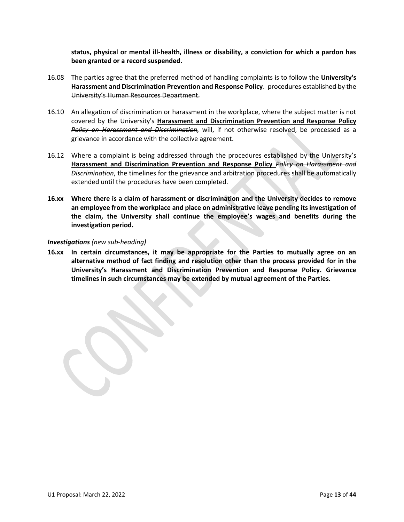**status, physical or mental ill-health, illness or disability, a conviction for which a pardon has been granted or a record suspended.**

- 16.08 The parties agree that the preferred method of handling complaints is to follow the **University's Harassment and Discrimination Prevention and Response Policy**. procedures established by the University's Human Resources Department.
- 16.10 An allegation of discrimination or harassment in the workplace, where the subject matter is not covered by the University's **Harassment and Discrimination Prevention and Response Policy** *Policy on Harassment and Discrimination,* will, if not otherwise resolved, be processed as a grievance in accordance with the collective agreement.
- 16.12 Where a complaint is being addressed through the procedures established by the University's **Harassment and Discrimination Prevention and Response Policy** *Policy on Harassment and Discrimination*, the timelines for the grievance and arbitration procedures shall be automatically extended until the procedures have been completed.
- **16.xx Where there is a claim of harassment or discrimination and the University decides to remove an employee from the workplace and place on administrative leave pending its investigation of the claim, the University shall continue the employee's wages and benefits during the investigation period.**

#### <span id="page-12-0"></span>*Investigations (new sub-heading)*

**16.xx In certain circumstances, it may be appropriate for the Parties to mutually agree on an alternative method of fact finding and resolution other than the process provided for in the University's Harassment and Discrimination Prevention and Response Policy. Grievance timelines in such circumstances may be extended by mutual agreement of the Parties.**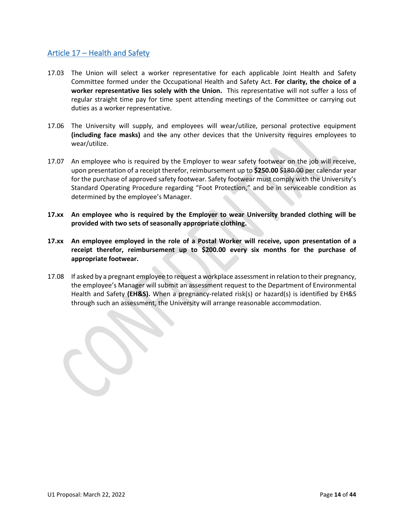## <span id="page-13-0"></span>Article 17 – Health and Safety

- 17.03 The Union will select a worker representative for each applicable Joint Health and Safety Committee formed under the Occupational Health and Safety Act. **For clarity, the choice of a worker representative lies solely with the Union.** This representative will not suffer a loss of regular straight time pay for time spent attending meetings of the Committee or carrying out duties as a worker representative.
- 17.06 The University will supply, and employees will wear/utilize, personal protective equipment **(including face masks)** and the any other devices that the University requires employees to wear/utilize.
- 17.07 An employee who is required by the Employer to wear safety footwear on the job will receive, upon presentation of a receipt therefor, reimbursement up to **\$250.00** \$180.00 per calendar year for the purchase of approved safety footwear. Safety footwear must comply with the University's Standard Operating Procedure regarding "Foot Protection," and be in serviceable condition as determined by the employee's Manager.
- **17.xx An employee who is required by the Employer to wear University branded clothing will be provided with two sets of seasonally appropriate clothing.**
- **17.xx An employee employed in the role of a Postal Worker will receive, upon presentation of a receipt therefor, reimbursement up to \$200.00 every six months for the purchase of appropriate footwear.**
- 17.08 If asked by a pregnant employee to request a workplace assessment in relation to their pregnancy, the employee's Manager will submit an assessment request to the Department of Environmental Health and Safety **(EH&S).** When a pregnancy-related risk(s) or hazard(s) is identified by EH&S through such an assessment, the University will arrange reasonable accommodation.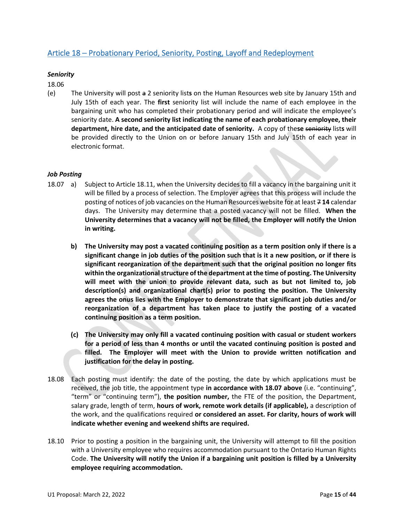## <span id="page-14-0"></span>Article 18 – Probationary Period, Seniority, Posting, Layoff and Redeployment

### <span id="page-14-1"></span>*Seniority*

18.06

(e) The University will post a 2 seniority list**s** on the Human Resources web site by January 15th and July 15th of each year. The **first** seniority list will include the name of each employee in the bargaining unit who has completed their probationary period and will indicate the employee's seniority date. **A second seniority list indicating the name of each probationary employee, their department, hire date, and the anticipated date of seniority.** A copy of the**se** seniority list**s** will be provided directly to the Union on or before January 15th and July 15th of each year in electronic format.

### <span id="page-14-2"></span>*Job Posting*

- 18.07 a) Subject to Article 18.11, when the University decides to fill a vacancy in the bargaining unit it will be filled by a process of selection. The Employer agrees that this process will include the posting of notices of job vacancies on the Human Resources website for at least 7 **14** calendar days. The University may determine that a posted vacancy will not be filled. **When the University determines that a vacancy will not be filled, the Employer will notify the Union in writing.**
	- **b) The University may post a vacated continuing position as a term position only if there is a significant change in job duties of the position such that is it a new position, or if there is significant reorganization of the department such that the original position no longer fits within the organizational structure of the department at the time of posting. The University will meet with the union to provide relevant data, such as but not limited to, job description(s) and organizational chart(s) prior to posting the position. The University agrees the onus lies with the Employer to demonstrate that significant job duties and/or reorganization of a department has taken place to justify the posting of a vacated continuing position as a term position.**
	- **(c) The University may only fill a vacated continuing position with casual or student workers for a period of less than 4 months or until the vacated continuing position is posted and filled. The Employer will meet with the Union to provide written notification and justification for the delay in posting.**
- 18.08 Each posting must identify: the date of the posting, the date by which applications must be received, the job title, the appointment type **in accordance with 18.07 above** (i.e. "continuing", "term" or "continuing term"), **the position number,** the FTE of the position, the Department, salary grade, length of term, **hours of work, remote work details (if applicable),** a description of the work, and the qualifications required **or considered an asset. For clarity, hours of work will indicate whether evening and weekend shifts are required.**
- 18.10 Prior to posting a position in the bargaining unit, the University will attempt to fill the position with a University employee who requires accommodation pursuant to the Ontario Human Rights Code. **The University will notify the Union if a bargaining unit position is filled by a University employee requiring accommodation.**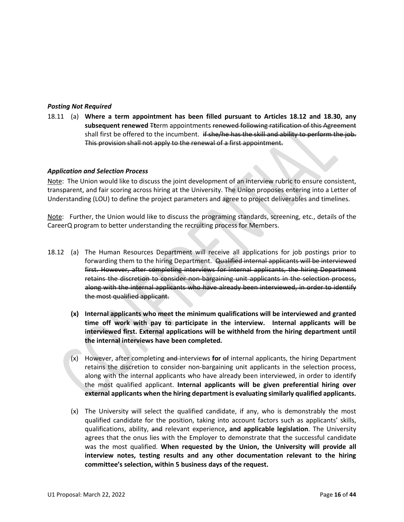### <span id="page-15-0"></span>*Posting Not Required*

18.11 (a) **Where a term appointment has been filled pursuant to Articles 18.12 and 18.30, any subsequent renewed** T**t**erm appointments renewed following ratification of this Agreement shall first be offered to the incumbent. if she/he has the skill and ability to perform the job. This provision shall not apply to the renewal of a first appointment.

#### <span id="page-15-1"></span>*Application and Selection Process*

Note: The Union would like to discuss the joint development of an interview rubric to ensure consistent, transparent, and fair scoring across hiring at the University. The Union proposes entering into a Letter of Understanding (LOU) to define the project parameters and agree to project deliverables and timelines.

Note: Further, the Union would like to discuss the programing standards, screening, etc., details of the CareerQ program to better understanding the recruiting process for Members.

- 18.12 (a) The Human Resources Department will receive all applications for job postings prior to forwarding them to the hiring Department. Qualified internal applicants will be interviewed first. However, after completing interviews for internal applicants, the hiring Department retains the discretion to consider non-bargaining unit applicants in the selection process, along with the internal applicants who have already been interviewed, in order to identify the most qualified applicant.
	- **(x) Internal applicants who meet the minimum qualifications will be interviewed and granted time off work with pay to participate in the interview. Internal applicants will be interviewed first. External applications will be withheld from the hiring department until the internal interviews have been completed.**
	- (x) However, after completing and interviews **for** of internal applicants, the hiring Department retains the discretion to consider non-bargaining unit applicants in the selection process, along with the internal applicants who have already been interviewed, in order to identify the most qualified applicant. **Internal applicants will be given preferential hiring over external applicants when the hiring department is evaluating similarly qualified applicants.**
	- (x) The University will select the qualified candidate, if any, who is demonstrably the most qualified candidate for the position, taking into account factors such as applicants' skills, qualifications, ability, and relevant experience**, and applicable legislation**. The University agrees that the onus lies with the Employer to demonstrate that the successful candidate was the most qualified. **When requested by the Union, the University will provide all interview notes, testing results and any other documentation relevant to the hiring committee's selection, within 5 business days of the request.**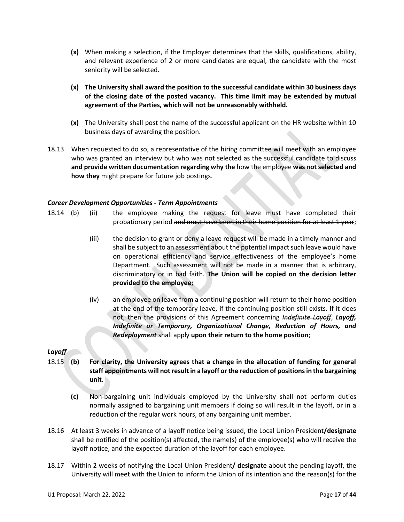- **(x)** When making a selection, if the Employer determines that the skills, qualifications, ability, and relevant experience of 2 or more candidates are equal, the candidate with the most seniority will be selected.
- **(x) The University shall award the position to the successful candidate within 30 business days of the closing date of the posted vacancy. This time limit may be extended by mutual agreement of the Parties, which will not be unreasonably withheld.**
- **(x)** The University shall post the name of the successful applicant on the HR website within 10 business days of awarding the position.
- 18.13 When requested to do so, a representative of the hiring committee will meet with an employee who was granted an interview but who was not selected as the successful candidate to discuss **and provide written documentation regarding why the** how the employee **was not selected and how they** might prepare for future job postings.

### <span id="page-16-0"></span>*Career Development Opportunities - Term Appointments*

- 18.14 (b) (ii) the employee making the request for leave must have completed their probationary period and must have been in their home position for at least 1 year;
	- (iii) the decision to grant or deny a leave request will be made in a timely manner and shall be subject to an assessment about the potential impact such leave would have on operational efficiency and service effectiveness of the employee's home Department. Such assessment will not be made in a manner that is arbitrary, discriminatory or in bad faith. **The Union will be copied on the decision letter provided to the employee;**
	- (iv) an employee on leave from a continuing position will return to their home position at the end of the temporary leave, if the continuing position still exists. If it does not, then the provisions of this Agreement concerning *Indefinite Layoff*, *Layoff, Indefinite or Temporary, Organizational Change, Reduction of Hours, and Redeployment* shall apply **upon their return to the home position**;

### <span id="page-16-1"></span>*Layoff*

- 18.15 **(b) For clarity, the University agrees that a change in the allocation of funding for general staff appointments will not result in a layoff or the reduction of positions in the bargaining unit.** 
	- **(c)** Non-bargaining unit individuals employed by the University shall not perform duties normally assigned to bargaining unit members if doing so will result in the layoff, or in a reduction of the regular work hours, of any bargaining unit member.
- 18.16 At least 3 weeks in advance of a layoff notice being issued, the Local Union President**/designate** shall be notified of the position(s) affected, the name(s) of the employee(s) who will receive the layoff notice, and the expected duration of the layoff for each employee.
- 18.17 Within 2 weeks of notifying the Local Union President**/ designate** about the pending layoff, the University will meet with the Union to inform the Union of its intention and the reason(s) for the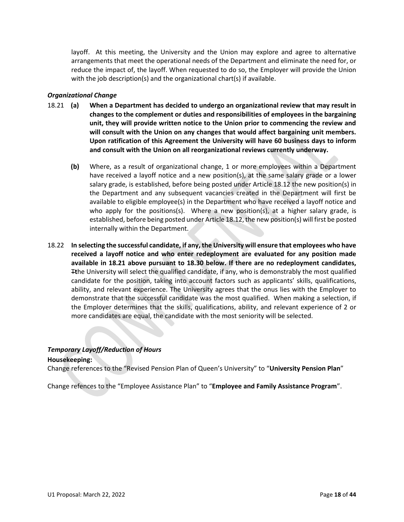layoff. At this meeting, the University and the Union may explore and agree to alternative arrangements that meet the operational needs of the Department and eliminate the need for, or reduce the impact of, the layoff. When requested to do so, the Employer will provide the Union with the job description(s) and the organizational chart(s) if available.

### <span id="page-17-0"></span>*Organizational Change*

- 18.21 **(a) When a Department has decided to undergo an organizational review that may result in changes to the complement or duties and responsibilities of employees in the bargaining unit, they will provide written notice to the Union prior to commencing the review and will consult with the Union on any changes that would affect bargaining unit members. Upon ratification of this Agreement the University will have 60 business days to inform and consult with the Union on all reorganizational reviews currently underway.**
	- **(b)** Where, as a result of organizational change, 1 or more employees within a Department have received a layoff notice and a new position(s), at the same salary grade or a lower salary grade, is established, before being posted under Article 18.12 the new position(s) in the Department and any subsequent vacancies created in the Department will first be available to eligible employee(s) in the Department who have received a layoff notice and who apply for the positions(s). Where a new position(s), at a higher salary grade, is established, before being posted under Article 18.12, the new position(s) will first be posted internally within the Department.
- 18.22 **In selecting the successful candidate, if any, the University will ensure that employees who have received a layoff notice and who enter redeployment are evaluated for any position made available in 18.21 above pursuant to 18.30 below. If there are no redeployment candidates,** T**t**he University will select the qualified candidate, if any, who is demonstrably the most qualified candidate for the position, taking into account factors such as applicants' skills, qualifications, ability, and relevant experience. The University agrees that the onus lies with the Employer to demonstrate that the successful candidate was the most qualified. When making a selection, if the Employer determines that the skills, qualifications, ability, and relevant experience of 2 or more candidates are equal, the candidate with the most seniority will be selected.

#### <span id="page-17-1"></span>*Temporary Layoff/Reduction of Hours*

#### **Housekeeping:**

Change references to the "Revised Pension Plan of Queen's University" to "**University Pension Plan**"

Change refences to the "Employee Assistance Plan" to "**Employee and Family Assistance Program**".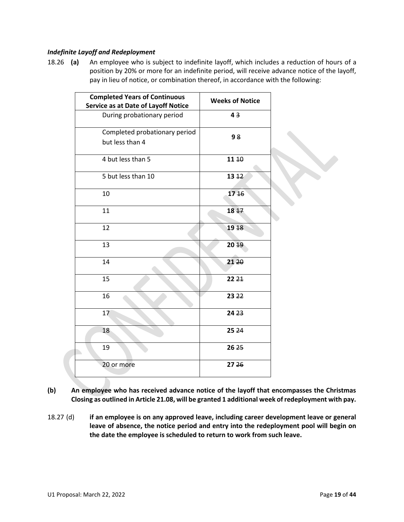### <span id="page-18-0"></span>*Indefinite Layoff and Redeployment*

18.26 **(a)** An employee who is subject to indefinite layoff, which includes a reduction of hours of a position by 20% or more for an indefinite period, will receive advance notice of the layoff, pay in lieu of notice, or combination thereof, in accordance with the following:

| <b>Completed Years of Continuous</b><br><b>Service as at Date of Layoff Notice</b> | <b>Weeks of Notice</b> |  |
|------------------------------------------------------------------------------------|------------------------|--|
| During probationary period                                                         | 43                     |  |
| Completed probationary period<br>but less than 4                                   | 98                     |  |
| 4 but less than 5                                                                  | 11 10                  |  |
| 5 but less than 10                                                                 | $13 + 2$               |  |
| 10                                                                                 | 1746                   |  |
| 11                                                                                 | $18 + 7$               |  |
| 12                                                                                 | 19 18                  |  |
| 13                                                                                 | 20 19                  |  |
| 14                                                                                 | 21 20                  |  |
| 15                                                                                 | 22 <sup>21</sup>       |  |
| 16                                                                                 | 23 22                  |  |
| 17                                                                                 | 24 23                  |  |
| 18                                                                                 | 25 24                  |  |
| 19                                                                                 | 26 25                  |  |
| 20 or more                                                                         | 27 26                  |  |

- **(b) An employee who has received advance notice of the layoff that encompasses the Christmas Closing as outlined in Article 21.08, will be granted 1 additional week of redeployment with pay.**
- 18.27 (d) **if an employee is on any approved leave, including career development leave or general leave of absence, the notice period and entry into the redeployment pool will begin on the date the employee is scheduled to return to work from such leave.**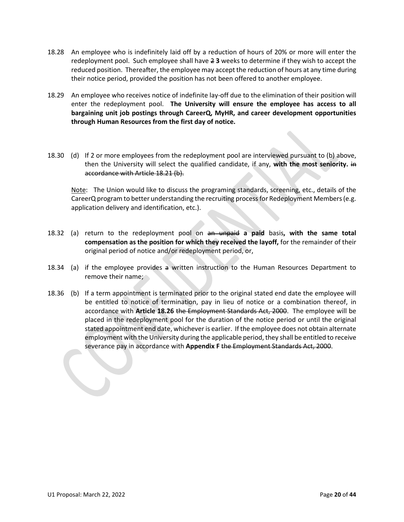- 18.28 An employee who is indefinitely laid off by a reduction of hours of 20% or more will enter the redeployment pool. Such employee shall have 2 **3** weeks to determine if they wish to accept the reduced position. Thereafter, the employee may accept the reduction of hours at any time during their notice period, provided the position has not been offered to another employee.
- 18.29 An employee who receives notice of indefinite lay-off due to the elimination of their position will enter the redeployment pool. **The University will ensure the employee has access to all bargaining unit job postings through CareerQ, MyHR, and career development opportunities through Human Resources from the first day of notice.**
- 18.30 (d) If 2 or more employees from the redeployment pool are interviewed pursuant to (b) above, then the University will select the qualified candidate, if any, **with the most seniority.** in accordance with Article 18.21 (b).

Note: The Union would like to discuss the programing standards, screening, etc., details of the CareerQ program to better understanding the recruiting process for Redeployment Members (e.g. application delivery and identification, etc.).

- 18.32 (a) return to the redeployment pool on an unpaid **a paid** basis**, with the same total compensation as the position for which they received the layoff,** for the remainder of their original period of notice and/or redeployment period, or,
- 18.34 (a) if the employee provides a written instruction to the Human Resources Department to remove their name;
- 18.36 (b) If a term appointment is terminated prior to the original stated end date the employee will be entitled to notice of termination, pay in lieu of notice or a combination thereof, in accordance with **Article 18.26** the Employment Standards Act, 2000. The employee will be placed in the redeployment pool for the duration of the notice period or until the original stated appointment end date, whichever is earlier. If the employee does not obtain alternate employment with the University during the applicable period, they shall be entitled to receive severance pay in accordance with **Appendix F** the Employment Standards Act, 2000.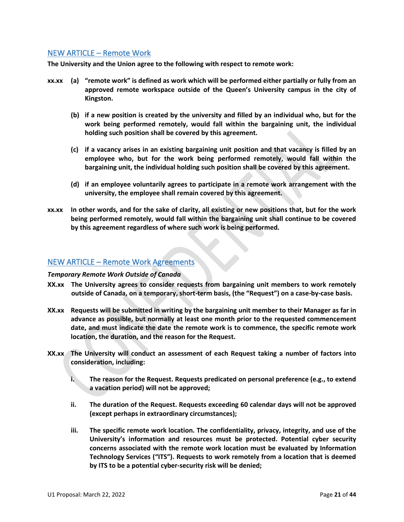### <span id="page-20-0"></span>NEW ARTICLE – Remote Work

**The University and the Union agree to the following with respect to remote work:**

- **xx.xx (a) "remote work" is defined as work which will be performed either partially or fully from an approved remote workspace outside of the Queen's University campus in the city of Kingston.** 
	- **(b) if a new position is created by the university and filled by an individual who, but for the work being performed remotely, would fall within the bargaining unit, the individual holding such position shall be covered by this agreement.**
	- **(c) if a vacancy arises in an existing bargaining unit position and that vacancy is filled by an employee who, but for the work being performed remotely, would fall within the bargaining unit, the individual holding such position shall be covered by this agreement.**
	- **(d) if an employee voluntarily agrees to participate in a remote work arrangement with the university, the employee shall remain covered by this agreement.**
- **xx.xx In other words, and for the sake of clarity, all existing or new positions that, but for the work being performed remotely, would fall within the bargaining unit shall continue to be covered by this agreement regardless of where such work is being performed.**

### <span id="page-20-1"></span>NEW ARTICLE – Remote Work Agreements

#### <span id="page-20-2"></span>*Temporary Remote Work Outside of Canada*

- **XX.xx The University agrees to consider requests from bargaining unit members to work remotely outside of Canada, on a temporary, short-term basis, (the "Request") on a case-by-case basis.**
- **XX.xx Requests will be submitted in writing by the bargaining unit member to their Manager as far in advance as possible, but normally at least one month prior to the requested commencement date, and must indicate the date the remote work is to commence, the specific remote work location, the duration, and the reason for the Request.**
- **XX.xx The University will conduct an assessment of each Request taking a number of factors into consideration, including:**
	- **i. The reason for the Request. Requests predicated on personal preference (e.g., to extend a vacation period) will not be approved;**
	- **ii. The duration of the Request. Requests exceeding 60 calendar days will not be approved (except perhaps in extraordinary circumstances);**
	- **iii. The specific remote work location. The confidentiality, privacy, integrity, and use of the University's information and resources must be protected. Potential cyber security concerns associated with the remote work location must be evaluated by Information Technology Services ("ITS"). Requests to work remotely from a location that is deemed by ITS to be a potential cyber-security risk will be denied;**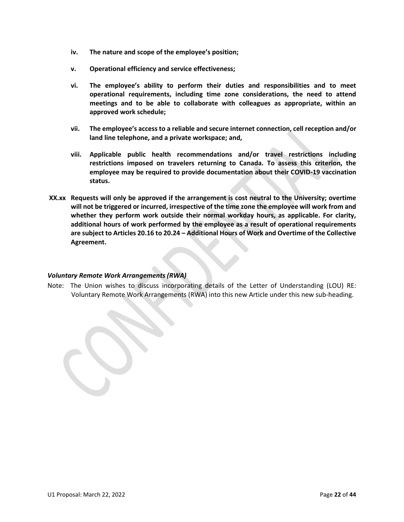- **iv. The nature and scope of the employee's position;**
- **v. Operational efficiency and service effectiveness;**
- **vi. The employee's ability to perform their duties and responsibilities and to meet operational requirements, including time zone considerations, the need to attend meetings and to be able to collaborate with colleagues as appropriate, within an approved work schedule;**
- **vii. The employee's access to a reliable and secure internet connection, cell reception and/or land line telephone, and a private workspace; and,**
- **viii. Applicable public health recommendations and/or travel restrictions including restrictions imposed on travelers returning to Canada. To assess this criterion, the employee may be required to provide documentation about their COVID-19 vaccination status.**
- **XX.xx Requests will only be approved if the arrangement is cost neutral to the University; overtime will not be triggered or incurred, irrespective of the time zone the employee will work from and whether they perform work outside their normal workday hours, as applicable. For clarity, additional hours of work performed by the employee as a result of operational requirements are subject to Articles 20.16 to 20.24 – Additional Hours of Work and Overtime of the Collective Agreement.**

### <span id="page-21-0"></span>*Voluntary Remote Work Arrangements (RWA)*

Note: The Union wishes to discuss incorporating details of the Letter of Understanding (LOU) RE: Voluntary Remote Work Arrangements (RWA) into this new Article under this new sub-heading.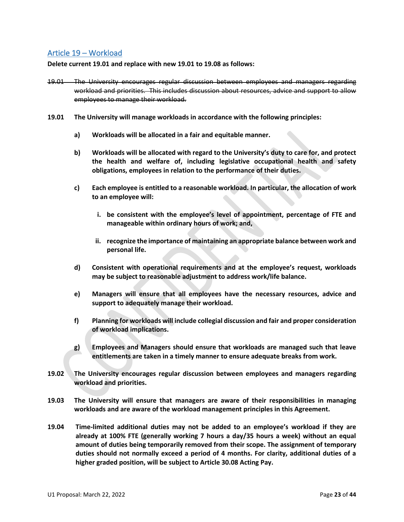## <span id="page-22-0"></span>Article 19 – Workload

**Delete current 19.01 and replace with new 19.01 to 19.08 as follows:** 

- 19.01 The University encourages regular discussion between employees and managers regarding workload and priorities. This includes discussion about resources, advice and support to allow employees to manage their workload.
- **19.01 The University will manage workloads in accordance with the following principles:**
	- **a) Workloads will be allocated in a fair and equitable manner.**
	- **b) Workloads will be allocated with regard to the University's duty to care for, and protect the health and welfare of, including legislative occupational health and safety obligations, employees in relation to the performance of their duties.**
	- **c) Each employee is entitled to a reasonable workload. In particular, the allocation of work to an employee will:**
		- **i. be consistent with the employee's level of appointment, percentage of FTE and manageable within ordinary hours of work; and,**
		- **ii. recognize the importance of maintaining an appropriate balance between work and personal life.**
	- **d) Consistent with operational requirements and at the employee's request, workloads may be subject to reasonable adjustment to address work/life balance.**
	- **e) Managers will ensure that all employees have the necessary resources, advice and support to adequately manage their workload.**
	- **f) Planning for workloads will include collegial discussion and fair and proper consideration of workload implications.**
	- **g) Employees and Managers should ensure that workloads are managed such that leave entitlements are taken in a timely manner to ensure adequate breaks from work.**
- **19.02 The University encourages regular discussion between employees and managers regarding workload and priorities.**
- **19.03 The University will ensure that managers are aware of their responsibilities in managing workloads and are aware of the workload management principles in this Agreement.**
- **19.04 Time-limited additional duties may not be added to an employee's workload if they are already at 100% FTE (generally working 7 hours a day/35 hours a week) without an equal amount of duties being temporarily removed from their scope. The assignment of temporary duties should not normally exceed a period of 4 months. For clarity, additional duties of a higher graded position, will be subject to Article 30.08 Acting Pay.**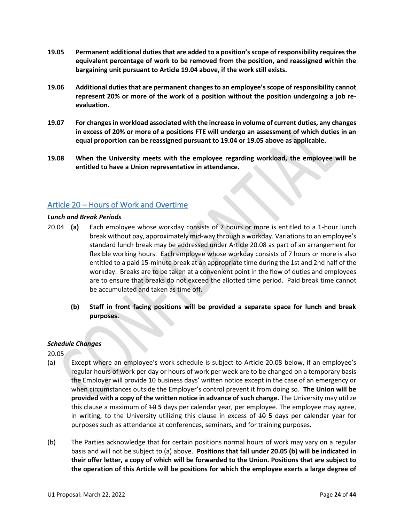- **19.05 Permanent additional duties that are added to a position's scope of responsibility requires the equivalent percentage of work to be removed from the position, and reassigned within the bargaining unit pursuant to Article 19.04 above, if the work still exists.**
- **19.06 Additional duties that are permanent changes to an employee's scope of responsibility cannot represent 20% or more of the work of a position without the position undergoing a job reevaluation.**
- **19.07 For changes in workload associated with the increase in volume of current duties, any changes in excess of 20% or more of a positions FTE will undergo an assessment of which duties in an equal proportion can be reassigned pursuant to 19.04 or 19.05 above as applicable.**
- **19.08 When the University meets with the employee regarding workload, the employee will be entitled to have a Union representative in attendance.**

### <span id="page-23-0"></span>Article 20 – Hours of Work and Overtime

#### <span id="page-23-1"></span>*Lunch and Break Periods*

- 20.04 **(a)** Each employee whose workday consists of 7 hours or more is entitled to a 1-hour lunch break without pay, approximately mid-way through a workday. Variations to an employee's standard lunch break may be addressed under Article 20.08 as part of an arrangement for flexible working hours. Each employee whose workday consists of 7 hours or more is also entitled to a paid 15-minute break at an appropriate time during the 1st and 2nd half of the workday. Breaks are to be taken at a convenient point in the flow of duties and employees are to ensure that breaks do not exceed the allotted time period. Paid break time cannot be accumulated and taken as time off.
	- **(b) Staff in front facing positions will be provided a separate space for lunch and break purposes.**

### <span id="page-23-2"></span>*Schedule Changes*

20.05

- (a) Except where an employee's work schedule is subject to Article 20.08 below, if an employee's regular hours of work per day or hours of work per week are to be changed on a temporary basis the Employer will provide 10 business days' written notice except in the case of an emergency or when circumstances outside the Employer's control prevent it from doing so. **The Union will be provided with a copy of the written notice in advance of such change.** The University may utilize this clause a maximum of 10 **5** days per calendar year, per employee. The employee may agree, in writing, to the University utilizing this clause in excess of 40 5 days per calendar year for purposes such as attendance at conferences, seminars, and for training purposes.
- (b) The Parties acknowledge that for certain positions normal hours of work may vary on a regular basis and will not be subject to (a) above. **Positions that fall under 20.05 (b) will be indicated in their offer letter, a copy of which will be forwarded to the Union. Positions that are subject to the operation of this Article will be positions for which the employee exerts a large degree of**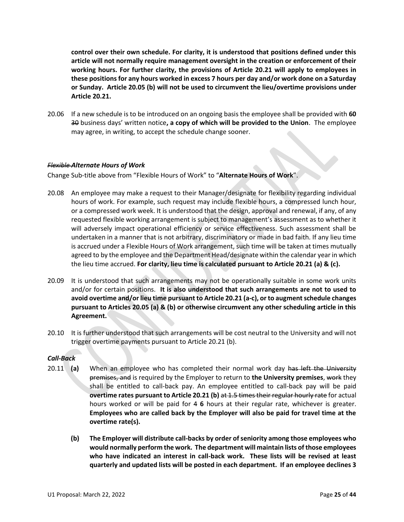**control over their own schedule. For clarity, it is understood that positions defined under this article will not normally require management oversight in the creation or enforcement of their working hours. For further clarity, the provisions of Article 20.21 will apply to employees in these positions for any hours worked in excess 7 hours per day and/or work done on a Saturday or Sunday. Article 20.05 (b) will not be used to circumvent the lieu/overtime provisions under Article 20.21.**

20.06 If a new schedule is to be introduced on an ongoing basis the employee shall be provided with **60** 30 business days' written notice**, a copy of which will be provided to the Union**. The employee may agree, in writing, to accept the schedule change sooner.

#### <span id="page-24-0"></span>*Flexible Alternate Hours of Work*

Change Sub-title above from "Flexible Hours of Work" to "**Alternate Hours of Work**".

- 20.08 An employee may make a request to their Manager/designate for flexibility regarding individual hours of work. For example, such request may include flexible hours, a compressed lunch hour, or a compressed work week. It is understood that the design, approval and renewal, if any, of any requested flexible working arrangement is subject to management's assessment as to whether it will adversely impact operational efficiency or service effectiveness. Such assessment shall be undertaken in a manner that is not arbitrary, discriminatory or made in bad faith. If any lieu time is accrued under a Flexible Hours of Work arrangement, such time will be taken at times mutually agreed to by the employee and the Department Head/designate within the calendar year in which the lieu time accrued. **For clarity, lieu time is calculated pursuant to Article 20.21 (a) & (c).**
- 20.09 It is understood that such arrangements may not be operationally suitable in some work units and/or for certain positions. **It is also understood that such arrangements are not to used to avoid overtime and/or lieu time pursuant to Article 20.21 (a-c), or to augment schedule changes pursuant to Articles 20.05 (a) & (b) or otherwise circumvent any other scheduling article in this Agreement.**
- 20.10 It is further understood that such arrangements will be cost neutral to the University and will not trigger overtime payments pursuant to Article 20.21 (b).

### <span id="page-24-1"></span>*Call-Back*

- 20.11 **(a)** When an employee who has completed their normal work day has left the University premises, and is required by the Employer to return to **the University premises**, work they shall be entitled to call-back pay. An employee entitled to call-back pay will be paid **overtime rates pursuant to Article 20.21 (b)** at 1.5 times their regular hourly rate for actual hours worked or will be paid for 4 **6** hours at their regular rate, whichever is greater. **Employees who are called back by the Employer will also be paid for travel time at the overtime rate(s).**
	- **(b) The Employer will distribute call-backs by order of seniority among those employees who would normally perform the work. The department will maintain lists of those employees who have indicated an interest in call-back work. These lists will be revised at least quarterly and updated lists will be posted in each department. If an employee declines 3**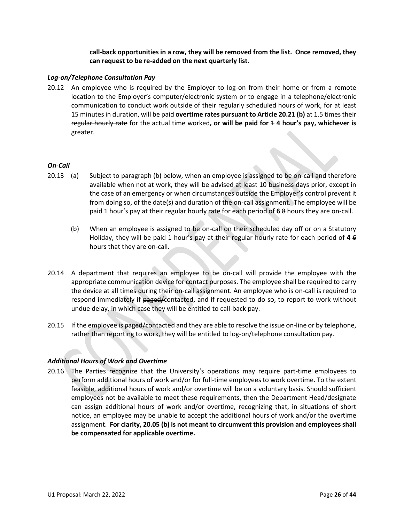**call-back opportunities in a row, they will be removed from the list. Once removed, they can request to be re-added on the next quarterly list.**

#### <span id="page-25-0"></span>*Log-on/Telephone Consultation Pay*

20.12 An employee who is required by the Employer to log-on from their home or from a remote location to the Employer's computer/electronic system or to engage in a telephone/electronic communication to conduct work outside of their regularly scheduled hours of work, for at least 15 minutes in duration, will be paid **overtime rates pursuant to Article 20.21 (b)** at 1.5 times their regular hourly rate for the actual time worked**, or will be paid for** 1 **4 hour's pay, whichever is**  greater.

#### <span id="page-25-1"></span>*On-Call*

- 20.13 (a) Subject to paragraph (b) below, when an employee is assigned to be on-call and therefore available when not at work, they will be advised at least 10 business days prior, except in the case of an emergency or when circumstances outside the Employer's control prevent it from doing so, of the date(s) and duration of the on-call assignment. The employee will be paid 1 hour's pay at their regular hourly rate for each period of **6** 8 hours they are on-call.
	- (b) When an employee is assigned to be on-call on their scheduled day off or on a Statutory Holiday, they will be paid 1 hour's pay at their regular hourly rate for each period of **4** 6 hours that they are on-call.
- 20.14 A department that requires an employee to be on-call will provide the employee with the appropriate communication device for contact purposes. The employee shall be required to carry the device at all times during their on-call assignment. An employee who is on-call is required to respond immediately if paged/contacted, and if requested to do so, to report to work without undue delay, in which case they will be entitled to call-back pay.
- 20.15 If the employee is paged/contacted and they are able to resolve the issue on-line or by telephone, rather than reporting to work, they will be entitled to log-on/telephone consultation pay.

### <span id="page-25-2"></span>*Additional Hours of Work and Overtime*

20.16 The Parties recognize that the University's operations may require part-time employees to perform additional hours of work and/or for full-time employees to work overtime. To the extent feasible, additional hours of work and/or overtime will be on a voluntary basis. Should sufficient employees not be available to meet these requirements, then the Department Head/designate can assign additional hours of work and/or overtime, recognizing that, in situations of short notice, an employee may be unable to accept the additional hours of work and/or the overtime assignment. **For clarity, 20.05 (b) is not meant to circumvent this provision and employees shall be compensated for applicable overtime.**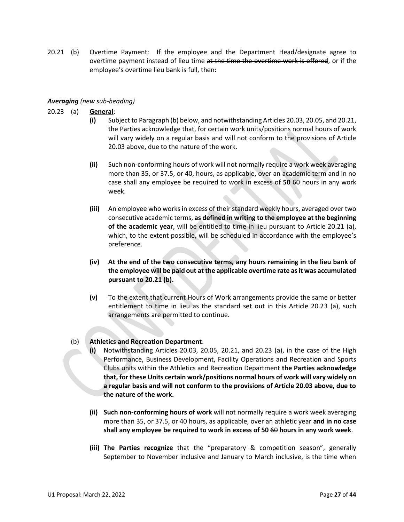20.21 (b) Overtime Payment: If the employee and the Department Head/designate agree to overtime payment instead of lieu time at the time the overtime work is offered, or if the employee's overtime lieu bank is full, then:

### <span id="page-26-0"></span>*Averaging (new sub-heading)*

- 20.23 (a) **General**:
	- **(i)** Subject to Paragraph (b) below, and notwithstanding Articles 20.03, 20.05, and 20.21, the Parties acknowledge that, for certain work units/positions normal hours of work will vary widely on a regular basis and will not conform to the provisions of Article 20.03 above, due to the nature of the work.
	- **(ii)** Such non-conforming hours of work will not normally require a work week averaging more than 35, or 37.5, or 40, hours, as applicable, over an academic term and in no case shall any employee be required to work in excess of **50** 60 hours in any work week.
	- **(iii)** An employee who works in excess of their standard weekly hours, averaged over two consecutive academic terms, **as defined in writing to the employee at the beginning of the academic year**, will be entitled to time in lieu pursuant to Article 20.21 (a), which, to the extent possible, will be scheduled in accordance with the employee's preference.
	- **(iv) At the end of the two consecutive terms, any hours remaining in the lieu bank of the employee will be paid out at the applicable overtime rate as it was accumulated pursuant to 20.21 (b).**
	- **(v)** To the extent that current Hours of Work arrangements provide the same or better entitlement to time in lieu as the standard set out in this Article 20.23 (a), such arrangements are permitted to continue.

### (b) **Athletics and Recreation Department**:

- **(i)** Notwithstanding Articles 20.03, 20.05, 20.21, and 20.23 (a), in the case of the High Performance, Business Development, Facility Operations and Recreation and Sports Clubs units within the Athletics and Recreation Department **the Parties acknowledge that, for these Units certain work/positions normal hours of work will vary widely on a regular basis and will not conform to the provisions of Article 20.03 above, due to the nature of the work.**
- **(ii) Such non-conforming hours of work** will not normally require a work week averaging more than 35, or 37.5, or 40 hours, as applicable, over an athletic year **and in no case shall any employee be required to work in excess of 50** 60 **hours in any work week**.
- **(iii) The Parties recognize** that the "preparatory & competition season", generally September to November inclusive and January to March inclusive, is the time when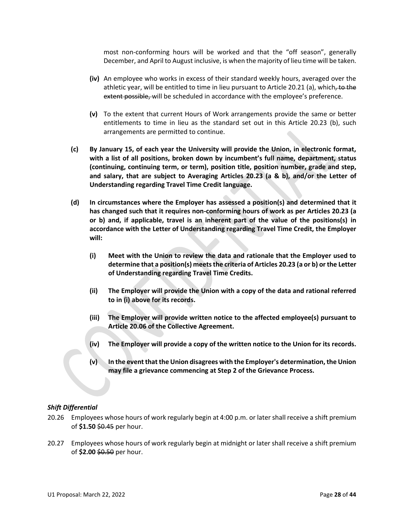most non-conforming hours will be worked and that the "off season", generally December, and April to August inclusive, is when the majority of lieu time will be taken.

- **(iv)** An employee who works in excess of their standard weekly hours, averaged over the athletic year, will be entitled to time in lieu pursuant to Article 20.21 (a), which, to the extent possible, will be scheduled in accordance with the employee's preference.
- **(v)** To the extent that current Hours of Work arrangements provide the same or better entitlements to time in lieu as the standard set out in this Article 20.23 (b), such arrangements are permitted to continue.
- **(c) By January 15, of each year the University will provide the Union, in electronic format, with a list of all positions, broken down by incumbent's full name, department, status (continuing, continuing term, or term), position title, position number, grade and step, and salary, that are subject to Averaging Articles 20.23 (a & b), and/or the Letter of Understanding regarding Travel Time Credit language.**
- **(d) In circumstances where the Employer has assessed a position(s) and determined that it has changed such that it requires non-conforming hours of work as per Articles 20.23 (a or b) and, if applicable, travel is an inherent part of the value of the positions(s) in accordance with the Letter of Understanding regarding Travel Time Credit, the Employer will:**
	- **(i) Meet with the Union to review the data and rationale that the Employer used to determine that a position(s) meets the criteria of Articles 20.23 (a or b) or the Letter of Understanding regarding Travel Time Credits.**
	- **(ii) The Employer will provide the Union with a copy of the data and rational referred to in (i) above for its records.**
	- **(iii) The Employer will provide written notice to the affected employee(s) pursuant to Article 20.06 of the Collective Agreement.**
	- **(iv) The Employer will provide a copy of the written notice to the Union for its records.**
	- **(v) In the event that the Union disagrees with the Employer's determination, the Union may file a grievance commencing at Step 2 of the Grievance Process.**

### <span id="page-27-0"></span>*Shift Differential*

- 20.26 Employees whose hours of work regularly begin at 4:00 p.m. or later shall receive a shift premium of **\$1.50** \$0.45 per hour.
- 20.27 Employees whose hours of work regularly begin at midnight or later shall receive a shift premium of **\$2.00** \$0.50 per hour.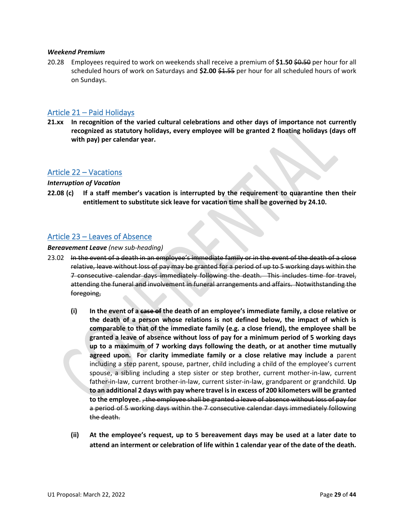#### <span id="page-28-0"></span>*Weekend Premium*

20.28 Employees required to work on weekends shall receive a premium of **\$1.50** \$0.50 per hour for all scheduled hours of work on Saturdays and **\$2.00** \$1.55 per hour for all scheduled hours of work on Sundays.

### <span id="page-28-1"></span>Article 21 – Paid Holidays

**21.xx In recognition of the varied cultural celebrations and other days of importance not currently recognized as statutory holidays, every employee will be granted 2 floating holidays (days off with pay) per calendar year.**

### <span id="page-28-2"></span>Article 22 – Vacations

#### <span id="page-28-3"></span>*Interruption of Vacation*

**22.08 (c) If a staff member's vacation is interrupted by the requirement to quarantine then their entitlement to substitute sick leave for vacation time shall be governed by 24.10.** 

### <span id="page-28-4"></span>Article 23 – Leaves of Absence

#### <span id="page-28-5"></span>*Bereavement Leave (new sub-heading)*

- 23.02 In the event of a death in an employee's immediate family or in the event of the death of a close relative, leave without loss of pay may be granted for a period of up to 5 working days within the 7 consecutive calendar days immediately following the death. This includes time for travel, attending the funeral and involvement in funeral arrangements and affairs. Notwithstanding the foregoing,
	- **(i) In the event of a case of the death of an employee's immediate family, a close relative or the death of a person whose relations is not defined below, the impact of which is comparable to that of the immediate family (e.g. a close friend), the employee shall be granted a leave of absence without loss of pay for a minimum period of 5 working days up to a maximum of 7 working days following the death, or at another time mutually agreed upon. For clarity immediate family or a close relative may include a** parent including a step parent, spouse, partner, child including a child of the employee's current spouse, a sibling including a step sister or step brother, current mother-in-law, current father-in-law, current brother-in-law, current sister-in-law, grandparent or grandchild. **Up to an additional 2 days with pay where travel is in excess of 200 kilometers will be granted to the employee.** , the employee shall be granted a leave of absence without loss of pay for a period of 5 working days within the 7 consecutive calendar days immediately following the death.
	- **(ii) At the employee's request, up to 5 bereavement days may be used at a later date to attend an interment or celebration of life within 1 calendar year of the date of the death.**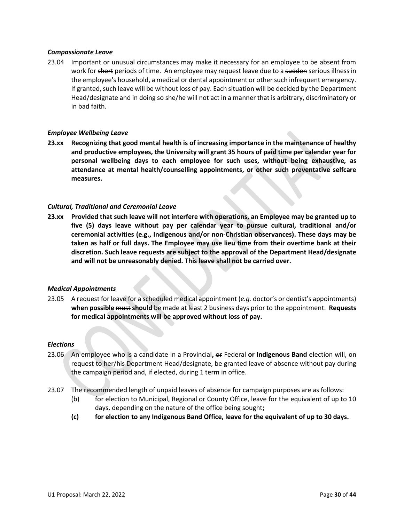#### <span id="page-29-0"></span>*Compassionate Leave*

23.04 Important or unusual circumstances may make it necessary for an employee to be absent from work for short periods of time. An employee may request leave due to a sudden serious illness in the employee's household, a medical or dental appointment or other such infrequent emergency. If granted, such leave will be without loss of pay. Each situation will be decided by the Department Head/designate and in doing so she/he will not act in a manner that is arbitrary, discriminatory or in bad faith.

#### <span id="page-29-1"></span>*Employee Wellbeing Leave*

**23.xx Recognizing that good mental health is of increasing importance in the maintenance of healthy and productive employees, the University will grant 35 hours of paid time per calendar year for personal wellbeing days to each employee for such uses, without being exhaustive, as attendance at mental health/counselling appointments, or other such preventative selfcare measures.** 

#### <span id="page-29-2"></span>*Cultural, Traditional and Ceremonial Leave*

**23.xx Provided that such leave will not interfere with operations, an Employee may be granted up to five (5) days leave without pay per calendar year to pursue cultural, traditional and/or ceremonial activities (e.g., Indigenous and/or non-Christian observances). These days may be taken as half or full days. The Employee may use lieu time from their overtime bank at their discretion. Such leave requests are subject to the approval of the Department Head/designate and will not be unreasonably denied. This leave shall not be carried over.**

#### <span id="page-29-3"></span>*Medical Appointments*

23.05 A request for leave for a scheduled medical appointment (*e.g.* doctor's or dentist's appointments) **when possible** must **should** be made at least 2 business days prior to the appointment. **Requests for medical appointments will be approved without loss of pay.** 

#### <span id="page-29-4"></span>*Elections*

- 23.06 An employee who is a candidate in a Provincial**,** or Federal **or Indigenous Band** election will, on request to her/his Department Head/designate, be granted leave of absence without pay during the campaign period and, if elected, during 1 term in office.
- 23.07 The recommended length of unpaid leaves of absence for campaign purposes are as follows:
	- (b) for election to Municipal, Regional or County Office, leave for the equivalent of up to 10 days, depending on the nature of the office being sought**;**
	- **(c) for election to any Indigenous Band Office, leave for the equivalent of up to 30 days.**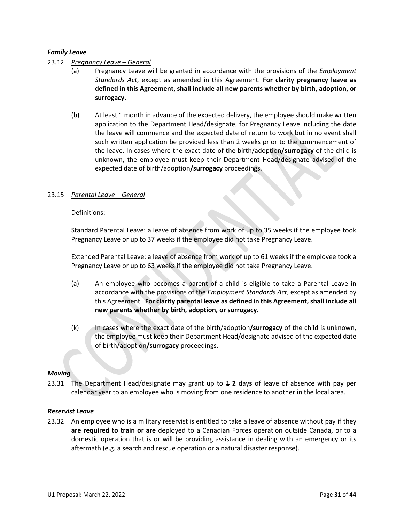#### <span id="page-30-0"></span>*Family Leave*

#### 23.12 *Pregnancy Leave – General*

- (a) Pregnancy Leave will be granted in accordance with the provisions of the *Employment Standards Act*, except as amended in this Agreement. **For clarity pregnancy leave as defined in this Agreement, shall include all new parents whether by birth, adoption, or surrogacy.**
- (b) At least 1 month in advance of the expected delivery, the employee should make written application to the Department Head/designate, for Pregnancy Leave including the date the leave will commence and the expected date of return to work but in no event shall such written application be provided less than 2 weeks prior to the commencement of the leave. In cases where the exact date of the birth/adoption**/surrogacy** of the child is unknown, the employee must keep their Department Head/designate advised of the expected date of birth/adoption**/surrogacy** proceedings.

#### 23.15 *Parental Leave – General*

#### Definitions:

Standard Parental Leave: a leave of absence from work of up to 35 weeks if the employee took Pregnancy Leave or up to 37 weeks if the employee did not take Pregnancy Leave.

Extended Parental Leave: a leave of absence from work of up to 61 weeks if the employee took a Pregnancy Leave or up to 63 weeks if the employee did not take Pregnancy Leave.

- (a) An employee who becomes a parent of a child is eligible to take a Parental Leave in accordance with the provisions of the *Employment Standards Act*, except as amended by this Agreement. **For clarity parental leave as defined in this Agreement, shall include all new parents whether by birth, adoption, or surrogacy.**
- (k) In cases where the exact date of the birth/adoption**/surrogacy** of the child is unknown, the employee must keep their Department Head/designate advised of the expected date of birth/adoption**/surrogacy** proceedings.

#### <span id="page-30-1"></span>*Moving*

23.31 The Department Head/designate may grant up to 1 **2** day**s** of leave of absence with pay per calendar year to an employee who is moving from one residence to another in the local area.

#### <span id="page-30-2"></span>*Reservist Leave*

23.32 An employee who is a military reservist is entitled to take a leave of absence without pay if they **are required to train or are** deployed to a Canadian Forces operation outside Canada, or to a domestic operation that is or will be providing assistance in dealing with an emergency or its aftermath (e.g. a search and rescue operation or a natural disaster response).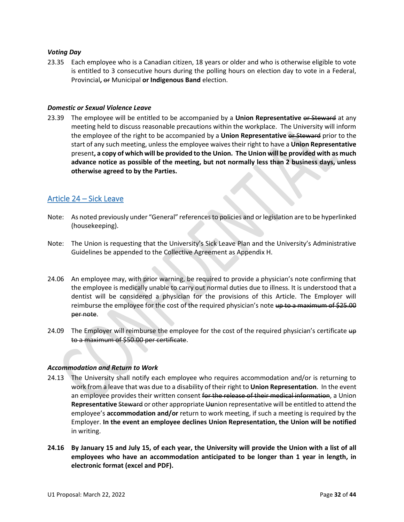#### <span id="page-31-0"></span>*Voting Day*

23.35 Each employee who is a Canadian citizen, 18 years or older and who is otherwise eligible to vote is entitled to 3 consecutive hours during the polling hours on election day to vote in a Federal, Provincial**,** or Municipal **or Indigenous Band** election.

#### <span id="page-31-1"></span>*Domestic or Sexual Violence Leave*

23.39 The employee will be entitled to be accompanied by a **Union Representative** or Steward at any meeting held to discuss reasonable precautions within the workplace. The University will inform the employee of the right to be accompanied by a **Union Representative** or Steward prior to the start of any such meeting, unless the employee waives their right to have a **Union Representative** present**, a copy of which will be provided to the Union. The Union will be provided with as much advance notice as possible of the meeting, but not normally less than 2 business days, unless otherwise agreed to by the Parties.** 

### <span id="page-31-2"></span>Article 24 – Sick Leave

- Note: As noted previously under "General" references to policies and or legislation are to be hyperlinked (housekeeping).
- Note: The Union is requesting that the University's Sick Leave Plan and the University's Administrative Guidelines be appended to the Collective Agreement as Appendix H.
- 24.06 An employee may, with prior warning, be required to provide a physician's note confirming that the employee is medically unable to carry out normal duties due to illness. It is understood that a dentist will be considered a physician for the provisions of this Article. The Employer will reimburse the employee for the cost of the required physician's note up to a maximum of \$25.00 per note.
- 24.09 The Employer will reimburse the employee for the cost of the required physician's certificate  $\theta$ to a maximum of \$50.00 per certificate.

#### <span id="page-31-3"></span>*Accommodation and Return to Work*

- 24.13 The University shall notify each employee who requires accommodation and/or is returning to work from a leave that was due to a disability of their right to **Union Representation**. In the event an employee provides their written consent for the release of their medical information, a Union **Representative** Steward or other appropriate U**u**nion representative will be entitled to attend the employee's **accommodation and/or** return to work meeting, if such a meeting is required by the Employer. **In the event an employee declines Union Representation, the Union will be notified**  in writing.
- **24.16 By January 15 and July 15, of each year, the University will provide the Union with a list of all employees who have an accommodation anticipated to be longer than 1 year in length, in electronic format (excel and PDF).**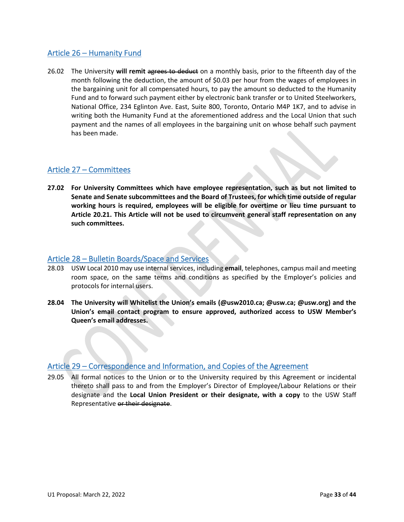## <span id="page-32-0"></span>Article 26 – Humanity Fund

26.02 The University **will remit** agrees to deduct on a monthly basis, prior to the fifteenth day of the month following the deduction, the amount of \$0.03 per hour from the wages of employees in the bargaining unit for all compensated hours, to pay the amount so deducted to the Humanity Fund and to forward such payment either by electronic bank transfer or to United Steelworkers, National Office, 234 Eglinton Ave. East, Suite 800, Toronto, Ontario M4P 1K7, and to advise in writing both the Humanity Fund at the aforementioned address and the Local Union that such payment and the names of all employees in the bargaining unit on whose behalf such payment has been made.

## <span id="page-32-1"></span>Article 27 – Committees

**27.02 For University Committees which have employee representation, such as but not limited to Senate and Senate subcommittees and the Board of Trustees, for which time outside of regular working hours is required, employees will be eligible for overtime or lieu time pursuant to Article 20.21. This Article will not be used to circumvent general staff representation on any such committees.**

### <span id="page-32-2"></span>Article 28 – Bulletin Boards/Space and Services

- 28.03 USW Local 2010 may use internal services, including **email**, telephones, campus mail and meeting room space, on the same terms and conditions as specified by the Employer's policies and protocols for internal users.
- **28.04 The University will Whitelist the Union's emails (@usw2010.ca; @usw.ca; @usw.org) and the Union's email contact program to ensure approved, authorized access to USW Member's Queen's email addresses.**

### <span id="page-32-3"></span>Article 29 – Correspondence and Information, and Copies of the Agreement

29.05 All formal notices to the Union or to the University required by this Agreement or incidental thereto shall pass to and from the Employer's Director of Employee/Labour Relations or their designate and the **Local Union President or their designate, with a copy** to the USW Staff Representative or their designate.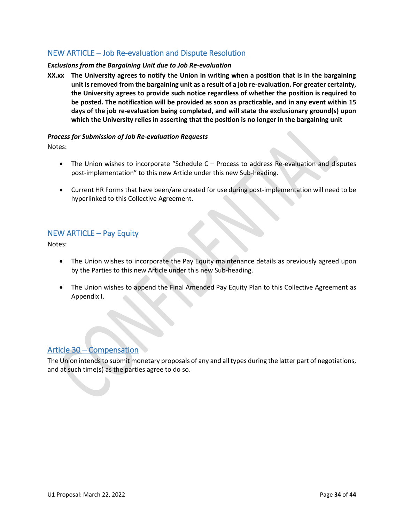## <span id="page-33-0"></span>NEW ARTICLE – Job Re-evaluation and Dispute Resolution

### <span id="page-33-1"></span>*Exclusions from the Bargaining Unit due to Job Re-evaluation*

**XX.xx The University agrees to notify the Union in writing when a position that is in the bargaining unit is removed from the bargaining unit as a result of a job re-evaluation. For greater certainty, the University agrees to provide such notice regardless of whether the position is required to be posted. The notification will be provided as soon as practicable, and in any event within 15 days of the job re-evaluation being completed, and will state the exclusionary ground(s) upon which the University relies in asserting that the position is no longer in the bargaining unit**

#### <span id="page-33-2"></span>*Process for Submission of Job Re-evaluation Requests*

Notes:

- The Union wishes to incorporate "Schedule C Process to address Re-evaluation and disputes post-implementation" to this new Article under this new Sub-heading.
- Current HR Forms that have been/are created for use during post-implementation will need to be hyperlinked to this Collective Agreement.

## <span id="page-33-3"></span>NEW ARTICLE – Pay Equity

Notes:

- The Union wishes to incorporate the Pay Equity maintenance details as previously agreed upon by the Parties to this new Article under this new Sub-heading.
- The Union wishes to append the Final Amended Pay Equity Plan to this Collective Agreement as Appendix I.

### <span id="page-33-4"></span>Article 30 – Compensation

The Union intends to submit monetary proposals of any and all types during the latter part of negotiations, and at such time(s) as the parties agree to do so.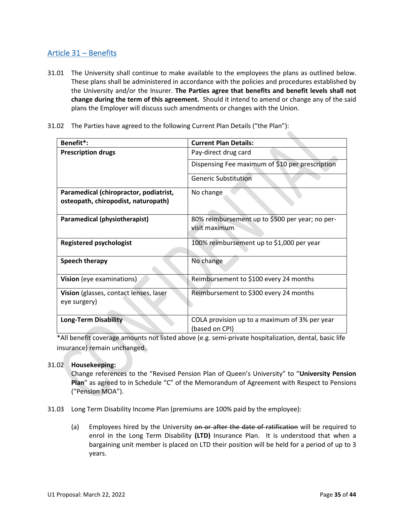## <span id="page-34-0"></span>Article 31 – Benefits

- 31.01 The University shall continue to make available to the employees the plans as outlined below. These plans shall be administered in accordance with the policies and procedures established by the University and/or the Insurer. **The Parties agree that benefits and benefit levels shall not change during the term of this agreement.** Should it intend to amend or change any of the said plans the Employer will discuss such amendments or changes with the Union.
- 31.02 The Parties have agreed to the following Current Plan Details ("the Plan"):

| Benefit*:                                              | <b>Current Plan Details:</b>                                     |  |  |
|--------------------------------------------------------|------------------------------------------------------------------|--|--|
| <b>Prescription drugs</b>                              | Pay-direct drug card                                             |  |  |
|                                                        | Dispensing Fee maximum of \$10 per prescription                  |  |  |
|                                                        | <b>Generic Substitution</b>                                      |  |  |
| Paramedical (chiropractor, podiatrist,                 | No change                                                        |  |  |
| osteopath, chiropodist, naturopath)                    |                                                                  |  |  |
| Paramedical (physiotherapist)                          | 80% reimbursement up to \$500 per year; no per-<br>visit maximum |  |  |
| <b>Registered psychologist</b>                         | 100% reimbursement up to \$1,000 per year                        |  |  |
| Speech therapy                                         | No change                                                        |  |  |
| Vision (eye examinations)                              | Reimbursement to \$100 every 24 months                           |  |  |
| Vision (glasses, contact lenses, laser<br>eye surgery) | Reimbursement to \$300 every 24 months                           |  |  |
| <b>Long-Term Disability</b>                            | COLA provision up to a maximum of 3% per year<br>(based on CPI)  |  |  |

\*All benefit coverage amounts not listed above (e.g. semi-private hospitalization, dental, basic life insurance) remain unchanged.

### 31.02 **Housekeeping:**

Change references to the "Revised Pension Plan of Queen's University" to "**University Pension Plan**" as agreed to in Schedule "C" of the Memorandum of Agreement with Respect to Pensions ("Pension MOA").

- 31.03 Long Term Disability Income Plan (premiums are 100% paid by the employee):
	- (a) Employees hired by the University on or after the date of ratification will be required to enrol in the Long Term Disability **(LTD)** Insurance Plan. It is understood that when a bargaining unit member is placed on LTD their position will be held for a period of up to 3 years.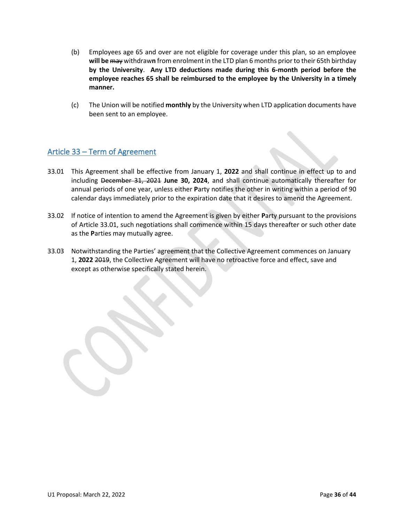- (b) Employees age 65 and over are not eligible for coverage under this plan, so an employee **will be** may withdraw**n** from enrolment in the LTD plan 6 months prior to their 65th birthday **by the University**. **Any LTD deductions made during this 6-month period before the employee reaches 65 shall be reimbursed to the employee by the University in a timely manner.**
- (c) The Union will be notified **monthly** by the University when LTD application documents have been sent to an employee.

## <span id="page-35-0"></span>Article 33 – Term of Agreement

- 33.01 This Agreement shall be effective from January 1, **2022** and shall continue in effect up to and including December 31, 2021 **June 30, 2024**, and shall continue automatically thereafter for annual periods of one year, unless either **P**arty notifies the other in writing within a period of 90 calendar days immediately prior to the expiration date that it desires to amend the Agreement.
- 33.02 If notice of intention to amend the Agreement is given by either **P**arty pursuant to the provisions of Article 33.01, such negotiations shall commence within 15 days thereafter or such other date as the **P**arties may mutually agree.
- 33.03 Notwithstanding the Parties' agreement that the Collective Agreement commences on January 1, **2022** 2019, the Collective Agreement will have no retroactive force and effect, save and except as otherwise specifically stated herein.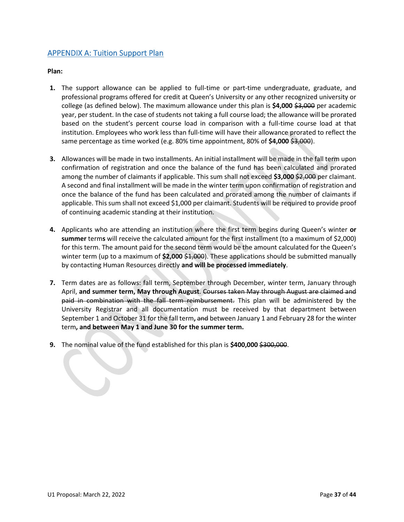## <span id="page-36-0"></span>APPENDIX A: Tuition Support Plan

**Plan:**

- **1.** The support allowance can be applied to full-time or part-time undergraduate, graduate, and professional programs offered for credit at Queen's University or any other recognized university or college (as defined below). The maximum allowance under this plan is \$4,000 \$3,000 per academic year, per student. In the case of students not taking a full course load; the allowance will be prorated based on the student's percent course load in comparison with a full-time course load at that institution. Employees who work less than full-time will have their allowance prorated to reflect the same percentage as time worked (e.g. 80% time appointment, 80% of \$4,000 \$3,000).
- **3.** Allowances will be made in two installments. An initial installment will be made in the fall term upon confirmation of registration and once the balance of the fund has been calculated and prorated among the number of claimants if applicable. This sum shall not exceed \$3,000 \$2,000 per claimant. A second and final installment will be made in the winter term upon confirmation of registration and once the balance of the fund has been calculated and prorated among the number of claimants if applicable. This sum shall not exceed \$1,000 per claimant. Students will be required to provide proof of continuing academic standing at their institution.
- **4.** Applicants who are attending an institution where the first term begins during Queen's winter **or summer** term**s** will receive the calculated amount for the first installment (to a maximum of \$2,000) for this term. The amount paid for the second term would be the amount calculated for the Queen's winter term (up to a maximum of **\$2,000** \$1,000). These applications should be submitted manually by contacting Human Resources directly **and will be processed immediately**.
- **7.** Term dates are as follows: fall term, September through December, winter term, January through April, **and summer term, May through August**. Courses taken May through August are claimed and paid in combination with the fall term reimbursement. This plan will be administered by the University Registrar and all documentation must be received by that department between September 1 and October 31 for the fall term**,** and between January 1 and February 28 for the winter term**, and between May 1 and June 30 for the summer term.**
- **9.** The nominal value of the fund established for this plan is **\$400,000** \$300,000.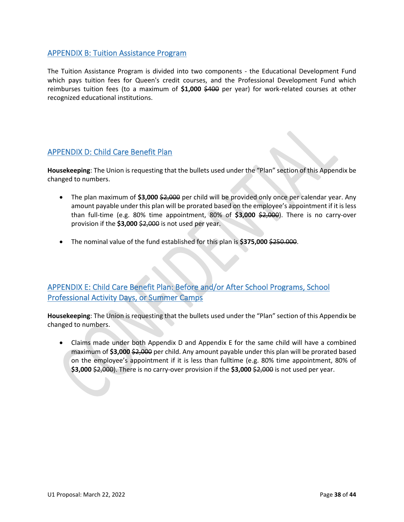## <span id="page-37-0"></span>APPENDIX B: Tuition Assistance Program

The Tuition Assistance Program is divided into two components - the Educational Development Fund which pays tuition fees for Queen's credit courses, and the Professional Development Fund which reimburses tuition fees (to a maximum of **\$1,000** \$400 per year) for work-related courses at other recognized educational institutions.

## <span id="page-37-1"></span>APPENDIX D: Child Care Benefit Plan

**Housekeeping**: The Union is requesting that the bullets used under the "Plan" section of this Appendix be changed to numbers.

- The plan maximum of **\$3,000** \$2,000 per child will be provided only once per calendar year. Any amount payable under this plan will be prorated based on the employee's appointment if it is less than full-time (e.g. 80% time appointment, 80% of **\$3,000** \$2,000). There is no carry-over provision if the **\$3,000** \$2,000 is not used per year.
- The nominal value of the fund established for this plan is **\$375,000** \$250.000.

## <span id="page-37-2"></span>APPENDIX E: Child Care Benefit Plan: Before and/or After School Programs, School Professional Activity Days, or Summer Camps

**Housekeeping**: The Union is requesting that the bullets used under the "Plan" section of this Appendix be changed to numbers.

• Claims made under both Appendix D and Appendix E for the same child will have a combined maximum of **\$3,000** \$2,000 per child. Any amount payable under this plan will be prorated based on the employee's appointment if it is less than fulltime (e.g. 80% time appointment, 80% of **\$3,000** \$2,000). There is no carry-over provision if the **\$3,000** \$2,000 is not used per year.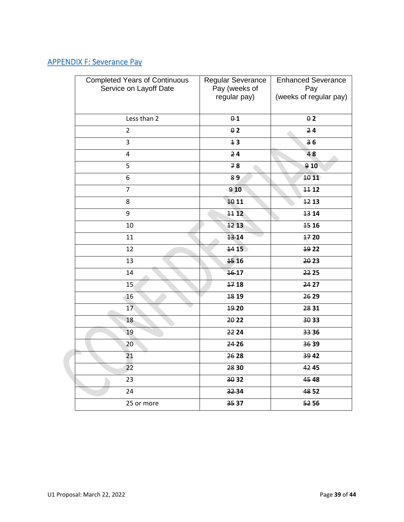# <span id="page-38-0"></span>APPENDIX F: Severance Pay

| <b>Completed Years of Continuous</b><br>Service on Layoff Date | Regular Severance<br>Pay (weeks of<br>regular pay) | <b>Enhanced Severance</b><br>Pay<br>(weeks of regular pay) |
|----------------------------------------------------------------|----------------------------------------------------|------------------------------------------------------------|
| Less than 2                                                    | $0-1$                                              | 02                                                         |
| $\overline{2}$                                                 | 02                                                 | 24                                                         |
| 3                                                              | 13                                                 | 36                                                         |
| $\pmb{4}$                                                      | 24                                                 | 48                                                         |
| 5                                                              | 78                                                 | 910                                                        |
| 6                                                              | 89                                                 | 1011                                                       |
| $\overline{7}$                                                 | 910                                                | 11 12                                                      |
| 8                                                              | 10 11                                              | 1213                                                       |
| 9                                                              | 1112                                               | 13 14                                                      |
| 10                                                             | 12 13                                              | 15 16                                                      |
| 11                                                             | 13-14                                              | 1720                                                       |
| 12                                                             | 14 15                                              | 19 22                                                      |
| 13                                                             | 15 16                                              | 20 23                                                      |
| 14                                                             | 16-17                                              | 22 25                                                      |
| 15                                                             | 1718                                               | 24 27                                                      |
| 16                                                             | 18 19                                              | 26 29                                                      |
| 17                                                             | 19-20                                              | 28 31                                                      |
| 18                                                             | 20 22                                              | 30 33                                                      |
| 19                                                             | 22 24                                              | 33 36                                                      |
| 20                                                             | 24-26                                              | 3639                                                       |
| 21                                                             | 26 28                                              | 39 42                                                      |
| 22                                                             | 28 30                                              | 42 45                                                      |
| 23                                                             | 30 32                                              | 45 48                                                      |
| 24                                                             | 3234                                               | 48 52                                                      |
| 25 or more                                                     | 35 37                                              | 52 56                                                      |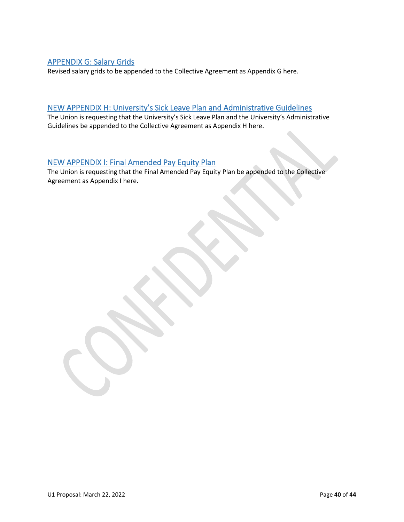## <span id="page-39-0"></span>APPENDIX G: Salary Grids

Revised salary grids to be appended to the Collective Agreement as Appendix G here.

## <span id="page-39-1"></span>NEW APPENDIX H: University's Sick Leave Plan and Administrative Guidelines

The Union is requesting that the University's Sick Leave Plan and the University's Administrative Guidelines be appended to the Collective Agreement as Appendix H here.

## <span id="page-39-2"></span>NEW APPENDIX I: Final Amended Pay Equity Plan

The Union is requesting that the Final Amended Pay Equity Plan be appended to the Collective Agreement as Appendix I here.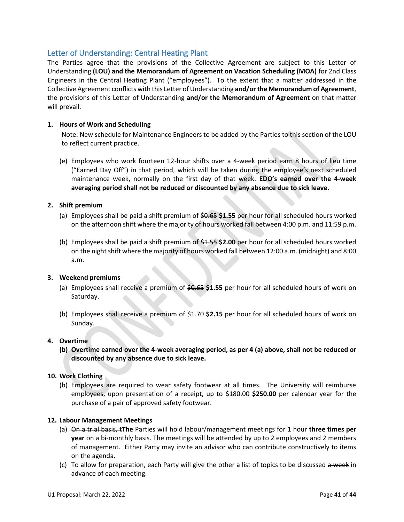## <span id="page-40-0"></span>Letter of Understanding: Central Heating Plant

The Parties agree that the provisions of the Collective Agreement are subject to this Letter of Understanding **(LOU) and the Memorandum of Agreement on Vacation Scheduling (MOA)** for 2nd Class Engineers in the Central Heating Plant ("employees"). To the extent that a matter addressed in the Collective Agreement conflicts with this Letter of Understanding **and/or the Memorandum of Agreement**, the provisions of this Letter of Understanding **and/or the Memorandum of Agreement** on that matter will prevail.

### **1. Hours of Work and Scheduling**

Note: New schedule for Maintenance Engineers to be added by the Parties to this section of the LOU to reflect current practice.

(e) Employees who work fourteen 12-hour shifts over a 4-week period earn 8 hours of lieu time ("Earned Day Off") in that period, which will be taken during the employee's next scheduled maintenance week, normally on the first day of that week. **EDO's earned over the 4-week averaging period shall not be reduced or discounted by any absence due to sick leave.**

#### **2. Shift premium**

- (a) Employees shall be paid a shift premium of \$0.65 **\$1.55** per hour for all scheduled hours worked on the afternoon shift where the majority of hours worked fall between 4:00 p.m. and 11:59 p.m.
- (b) Employees shall be paid a shift premium of \$1.55 **\$2.00** per hour for all scheduled hours worked on the night shift where the majority of hours worked fall between 12:00 a.m. (midnight) and 8:00 a.m.

#### **3. Weekend premiums**

- (a) Employees shall receive a premium of \$0.65 **\$1.55** per hour for all scheduled hours of work on Saturday.
- (b) Employees shall receive a premium of \$1.70 **\$2.15** per hour for all scheduled hours of work on Sunday.

#### **4. Overtime**

**(b) Overtime earned over the 4-week averaging period, as per 4 (a) above, shall not be reduced or discounted by any absence due to sick leave.** 

#### **10. Work Clothing**

(b) Employees are required to wear safety footwear at all times. The University will reimburse employees, upon presentation of a receipt, up to \$180.00 **\$250.00** per calendar year for the purchase of a pair of approved safety footwear.

#### **12. Labour Management Meetings**

- (a) On a trial basis, t**The** Parties will hold labour/management meetings for 1 hour **three times per year** on a bi-monthly basis. The meetings will be attended by up to 2 employees and 2 members of management. Either Party may invite an advisor who can contribute constructively to items on the agenda.
- (c) To allow for preparation, each Party will give the other a list of topics to be discussed  $a$  week in advance of each meeting.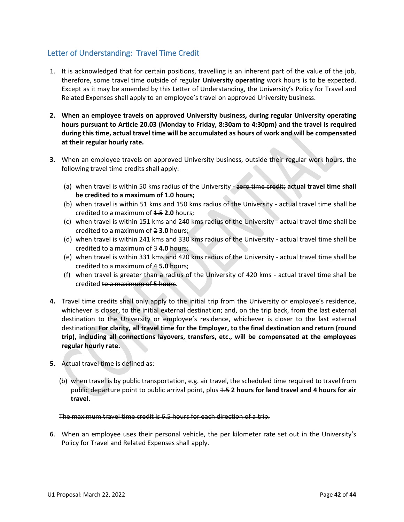## <span id="page-41-0"></span>Letter of Understanding: Travel Time Credit

- 1. It is acknowledged that for certain positions, travelling is an inherent part of the value of the job, therefore, some travel time outside of regular **University operating** work hours is to be expected. Except as it may be amended by this Letter of Understanding, the University's Policy for Travel and Related Expenses shall apply to an employee's travel on approved University business.
- **2. When an employee travels on approved University business, during regular University operating hours pursuant to Article 20.03 (Monday to Friday, 8:30am to 4:30pm) and the travel is required during this time, actual travel time will be accumulated as hours of work and will be compensated at their regular hourly rate.**
- **3.** When an employee travels on approved University business, outside their regular work hours, the following travel time credits shall apply:
	- (a) when travel is within 50 kms radius of the University zero time credit; **actual travel time shall be credited to a maximum of 1.0 hours;**
	- (b) when travel is within 51 kms and 150 kms radius of the University actual travel time shall be credited to a maximum of  $1.5$  **2.0** hours;
	- (c) when travel is within 151 kms and 240 kms radius of the University actual travel time shall be credited to a maximum of 2 **3.0** hours;
	- (d) when travel is within 241 kms and 330 kms radius of the University actual travel time shall be credited to a maximum of 3 **4.0** hours;
	- (e) when travel is within 331 kms and 420 kms radius of the University actual travel time shall be credited to a maximum of 4 **5.0** hours;
	- (f) when travel is greater than a radius of the University of 420 kms actual travel time shall be credited to a maximum of 5 hours.
- **4.** Travel time credits shall only apply to the initial trip from the University or employee's residence, whichever is closer, to the initial external destination; and, on the trip back, from the last external destination to the University or employee's residence, whichever is closer to the last external destination. **For clarity, all travel time for the Employer, to the final destination and return (round trip), including all connections layovers, transfers, etc., will be compensated at the employees regular hourly rate.**
- **5**. Actual travel time is defined as:
	- (b) when travel is by public transportation, e.g. air travel, the scheduled time required to travel from public departure point to public arrival point, plus 1.5 **2 hours for land travel and 4 hours for air travel**.

#### The maximum travel time credit is 6.5 hours for each direction of a trip.

**6**. When an employee uses their personal vehicle, the per kilometer rate set out in the University's Policy for Travel and Related Expenses shall apply.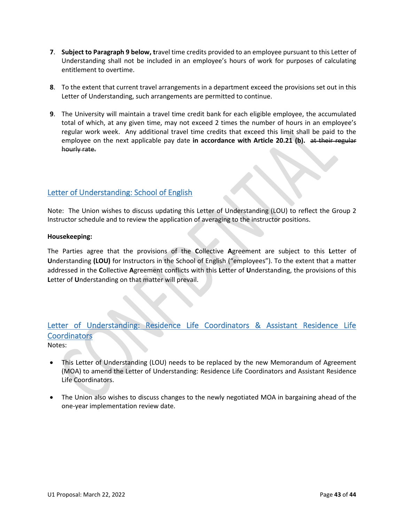- **7**. **Subject to Paragraph 9 below, t**ravel time credits provided to an employee pursuant to this Letter of Understanding shall not be included in an employee's hours of work for purposes of calculating entitlement to overtime.
- **8**. To the extent that current travel arrangements in a department exceed the provisions set out in this Letter of Understanding, such arrangements are permitted to continue.
- **9**. The University will maintain a travel time credit bank for each eligible employee, the accumulated total of which, at any given time, may not exceed 2 times the number of hours in an employee's regular work week. Any additional travel time credits that exceed this limit shall be paid to the employee on the next applicable pay date **in accordance with Article 20.21 (b).** at their regular hourly rate.

## <span id="page-42-0"></span>Letter of Understanding: School of English

Note: The Union wishes to discuss updating this Letter of Understanding (LOU) to reflect the Group 2 Instructor schedule and to review the application of averaging to the instructor positions.

#### **Housekeeping:**

The Parties agree that the provisions of the **C**ollective **A**greement are subject to this **L**etter of **U**nderstanding **(LOU)** for Instructors in the School of English ("employees"). To the extent that a matter addressed in the **C**ollective **A**greement conflicts with this **L**etter of **U**nderstanding, the provisions of this **L**etter of **U**nderstanding on that matter will prevail.

# <span id="page-42-1"></span>Letter of Understanding: Residence Life Coordinators & Assistant Residence Life **Coordinators**

Notes:

- This Letter of Understanding (LOU) needs to be replaced by the new Memorandum of Agreement (MOA) to amend the Letter of Understanding: Residence Life Coordinators and Assistant Residence Life Coordinators.
- The Union also wishes to discuss changes to the newly negotiated MOA in bargaining ahead of the one-year implementation review date.